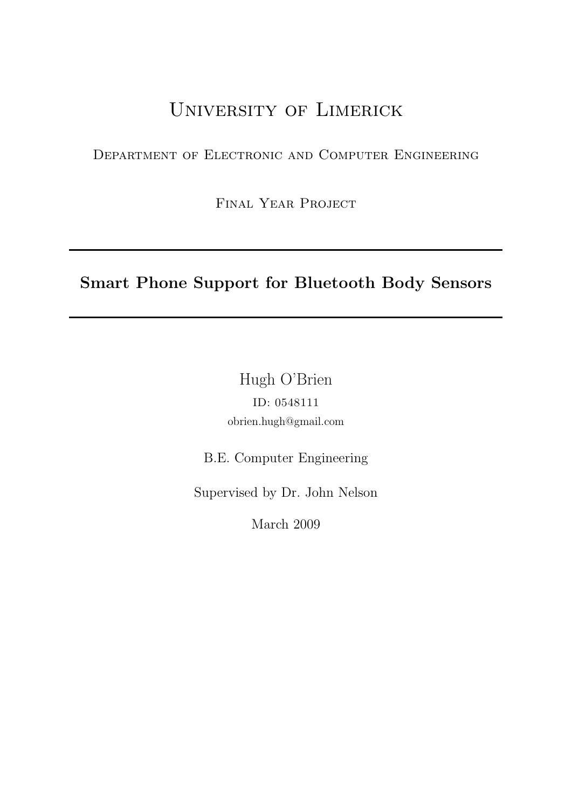# University of Limerick

Department of Electronic and Computer Engineering

Final Year Project

# Smart Phone Support for Bluetooth Body Sensors

Hugh O'Brien ID: 0548111 obrien.hugh@gmail.com

B.E. Computer Engineering

Supervised by Dr. John Nelson

March 2009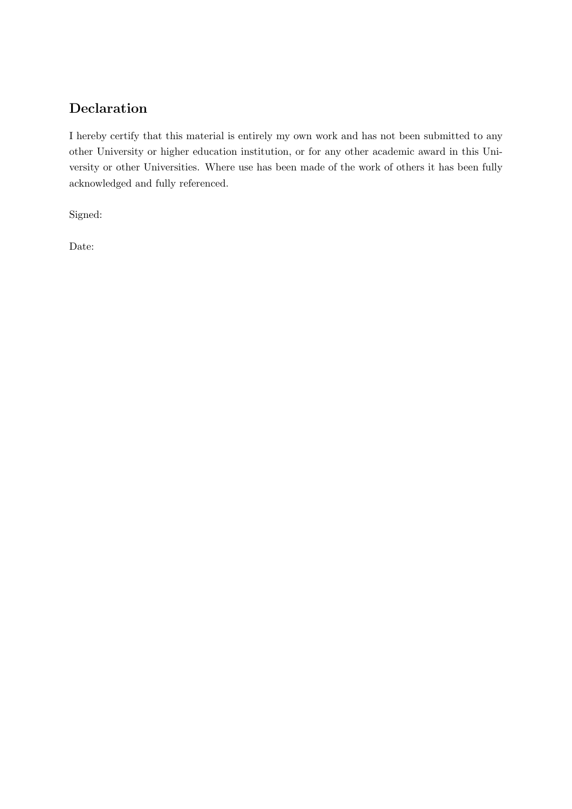# Declaration

I hereby certify that this material is entirely my own work and has not been submitted to any other University or higher education institution, or for any other academic award in this University or other Universities. Where use has been made of the work of others it has been fully acknowledged and fully referenced.

Signed:

Date: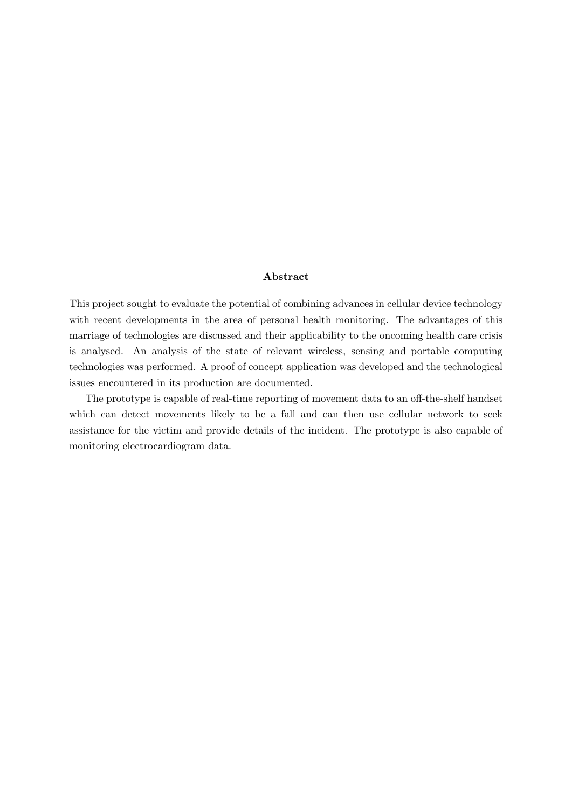#### Abstract

This project sought to evaluate the potential of combining advances in cellular device technology with recent developments in the area of personal health monitoring. The advantages of this marriage of technologies are discussed and their applicability to the oncoming health care crisis is analysed. An analysis of the state of relevant wireless, sensing and portable computing technologies was performed. A proof of concept application was developed and the technological issues encountered in its production are documented.

The prototype is capable of real-time reporting of movement data to an off-the-shelf handset which can detect movements likely to be a fall and can then use cellular network to seek assistance for the victim and provide details of the incident. The prototype is also capable of monitoring electrocardiogram data.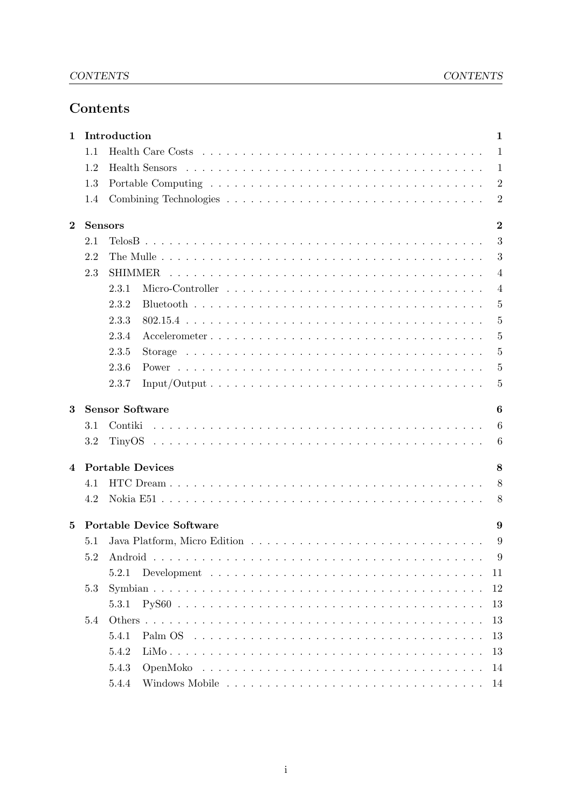# Contents

| 1              |                              | Introduction                                                                                                  | 1                |  |  |  |  |  |
|----------------|------------------------------|---------------------------------------------------------------------------------------------------------------|------------------|--|--|--|--|--|
|                | 1.1                          |                                                                                                               | $\mathbf{1}$     |  |  |  |  |  |
|                | 1.2                          |                                                                                                               | 1                |  |  |  |  |  |
|                | 1.3                          |                                                                                                               | $\overline{2}$   |  |  |  |  |  |
|                | 1.4                          |                                                                                                               | $\overline{2}$   |  |  |  |  |  |
| $\bf{2}$       |                              | <b>Sensors</b>                                                                                                | $\overline{2}$   |  |  |  |  |  |
|                | 2.1                          |                                                                                                               | 3                |  |  |  |  |  |
|                | 2.2                          |                                                                                                               | 3                |  |  |  |  |  |
|                | 2.3                          | SHIMMER                                                                                                       | $\overline{4}$   |  |  |  |  |  |
|                |                              | 2.3.1                                                                                                         | $\overline{4}$   |  |  |  |  |  |
|                |                              | 2.3.2                                                                                                         | 5                |  |  |  |  |  |
|                |                              | 2.3.3                                                                                                         | 5                |  |  |  |  |  |
|                |                              | 2.3.4                                                                                                         | 5                |  |  |  |  |  |
|                |                              | 2.3.5                                                                                                         | 5                |  |  |  |  |  |
|                |                              | 2.3.6                                                                                                         | 5                |  |  |  |  |  |
|                |                              | 2.3.7                                                                                                         | $\overline{5}$   |  |  |  |  |  |
| 3              |                              | <b>Sensor Software</b>                                                                                        | 6                |  |  |  |  |  |
|                | 3.1                          | Contiki                                                                                                       | $\boldsymbol{6}$ |  |  |  |  |  |
|                | 3.2                          |                                                                                                               | 6                |  |  |  |  |  |
| $\overline{4}$ | <b>Portable Devices</b><br>8 |                                                                                                               |                  |  |  |  |  |  |
|                | 4.1                          |                                                                                                               | 8                |  |  |  |  |  |
|                | 4.2                          |                                                                                                               | 8                |  |  |  |  |  |
| 5              |                              | <b>Portable Device Software</b>                                                                               | 9                |  |  |  |  |  |
|                | 5.1                          |                                                                                                               | 9                |  |  |  |  |  |
|                | $5.2\,$                      |                                                                                                               | 9                |  |  |  |  |  |
|                |                              | 5.2.1                                                                                                         | 11               |  |  |  |  |  |
|                | 5.3                          |                                                                                                               | 12               |  |  |  |  |  |
|                |                              | 5.3.1                                                                                                         | 13               |  |  |  |  |  |
|                | 5.4                          |                                                                                                               | 13               |  |  |  |  |  |
|                |                              | 5.4.1<br>Palm OS $\ldots \ldots \ldots \ldots \ldots \ldots \ldots \ldots \ldots \ldots \ldots \ldots \ldots$ | 13               |  |  |  |  |  |
|                |                              | 5.4.2                                                                                                         | 13               |  |  |  |  |  |
|                |                              | 5.4.3                                                                                                         | 14               |  |  |  |  |  |
|                |                              | 5.4.4<br>14                                                                                                   |                  |  |  |  |  |  |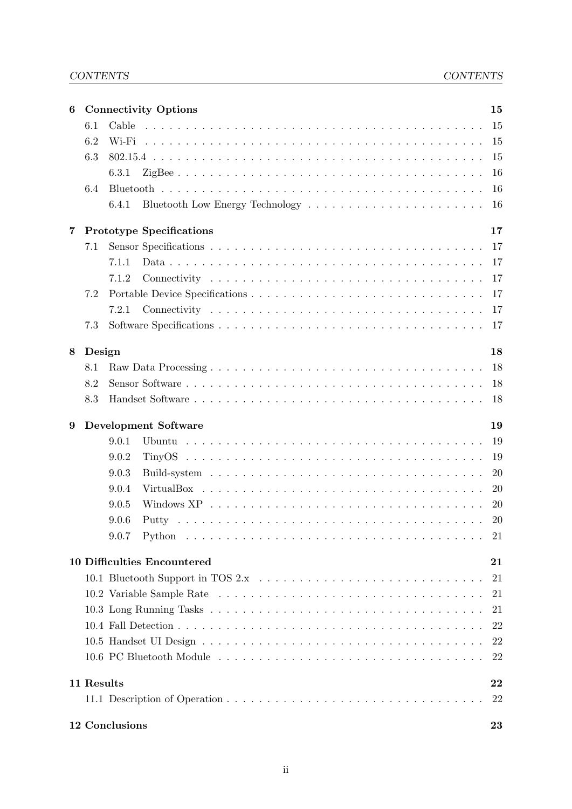# CONTENTS CONTENTS

| 6 |            | <b>Connectivity Options</b>        | 15        |
|---|------------|------------------------------------|-----------|
|   | 6.1        | Cable                              | 15        |
|   | 6.2        | Wi-Fi                              | 15        |
|   | 6.3        |                                    | 15        |
|   |            | 6.3.1                              | 16        |
|   | 6.4        |                                    | 16        |
|   |            | 6.4.1                              | 16        |
| 7 |            | <b>Prototype Specifications</b>    | 17        |
|   | 7.1        |                                    | 17        |
|   |            | 7.1.1                              | 17        |
|   |            | 7.1.2                              | 17        |
|   | 7.2        |                                    | 17        |
|   |            | 7.2.1                              | 17        |
|   | 7.3        |                                    | 17        |
|   |            |                                    |           |
| 8 | Design     |                                    | 18<br>18  |
|   | 8.1<br>8.2 |                                    | 18        |
|   | 8.3        |                                    | 18        |
|   |            |                                    |           |
| 9 |            | <b>Development Software</b>        | 19        |
|   |            | 9.0.1                              | 19        |
|   |            | 9.0.2                              | 19        |
|   |            | 9.0.3                              | 20        |
|   |            | 9.0.4                              | 20        |
|   |            | 9.0.5                              | 20        |
|   |            | 9.0.6                              | <b>20</b> |
|   |            | 9.0.7                              | 21        |
|   |            | <b>10 Difficulties Encountered</b> | 21        |
|   |            |                                    | 21        |
|   |            |                                    | 21        |
|   |            |                                    | 21        |
|   |            |                                    | 22        |
|   |            |                                    | 22        |
|   |            |                                    | 22        |
|   | 11 Results |                                    | 22        |
|   |            |                                    | 22        |
|   |            | 12 Conclusions                     | 23        |
|   |            |                                    |           |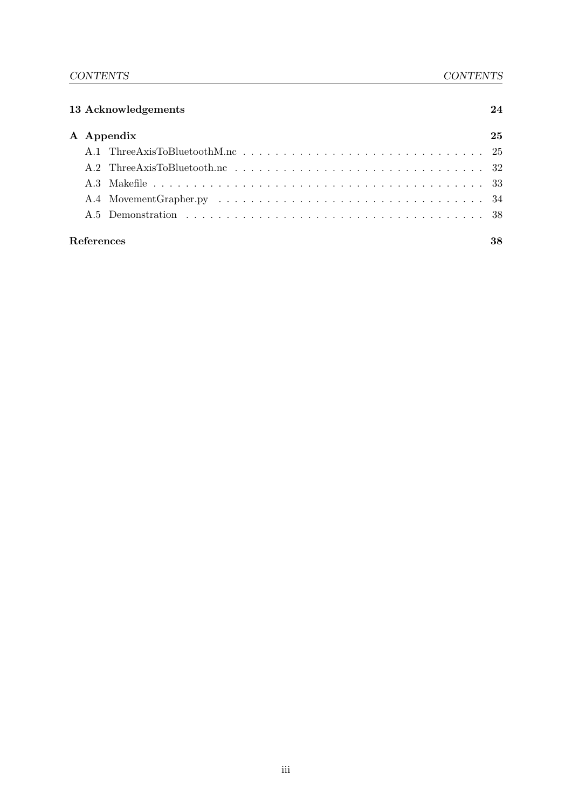| 13 Acknowledgements |            |    |  |
|---------------------|------------|----|--|
|                     | A Appendix | 25 |  |
|                     |            |    |  |
|                     |            |    |  |
|                     |            |    |  |
|                     |            |    |  |
|                     |            |    |  |
| References          |            | 38 |  |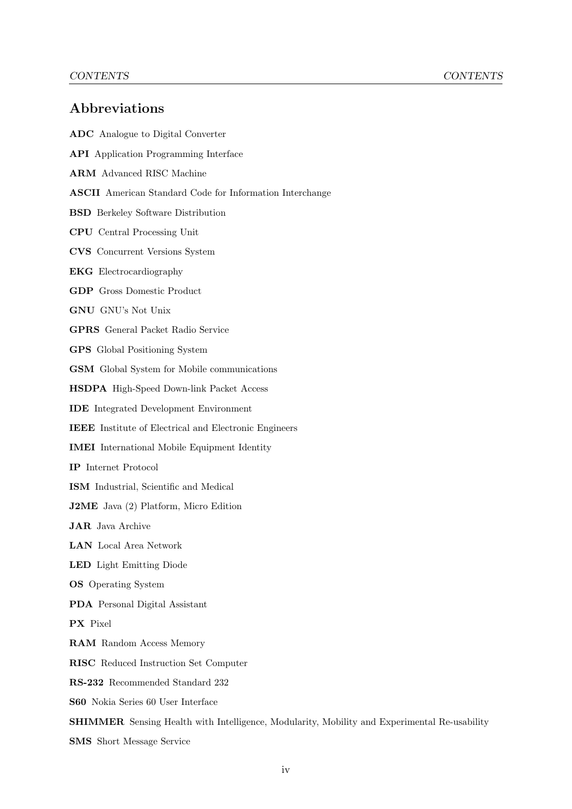# Abbreviations

ADC Analogue to Digital Converter API Application Programming Interface ARM Advanced RISC Machine ASCII American Standard Code for Information Interchange BSD Berkeley Software Distribution CPU Central Processing Unit CVS Concurrent Versions System EKG Electrocardiography GDP Gross Domestic Product GNU GNU's Not Unix GPRS General Packet Radio Service GPS Global Positioning System GSM Global System for Mobile communications HSDPA High-Speed Down-link Packet Access IDE Integrated Development Environment IEEE Institute of Electrical and Electronic Engineers IMEI International Mobile Equipment Identity IP Internet Protocol ISM Industrial, Scientific and Medical J2ME Java (2) Platform, Micro Edition JAR Java Archive LAN Local Area Network LED Light Emitting Diode OS Operating System PDA Personal Digital Assistant PX Pixel RAM Random Access Memory RISC Reduced Instruction Set Computer RS-232 Recommended Standard 232 S60 Nokia Series 60 User Interface SHIMMER Sensing Health with Intelligence, Modularity, Mobility and Experimental Re-usability SMS Short Message Service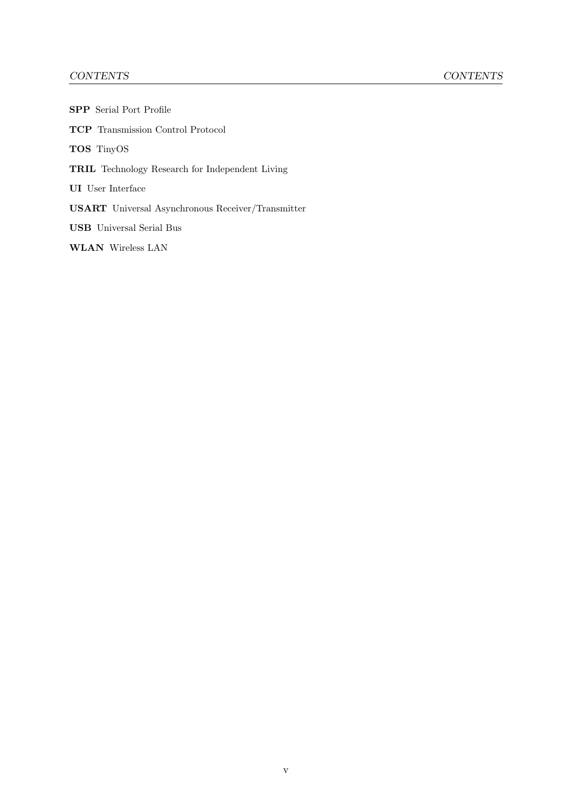# CONTENTS CONTENTS

| <b>SPP</b> Serial Port Profile                           |
|----------------------------------------------------------|
| <b>TCP</b> Transmission Control Protocol                 |
| <b>TOS</b> TinyOS                                        |
| <b>TRIL</b> Technology Research for Independent Living   |
| <b>UI</b> User Interface                                 |
| <b>USART</b> Universal Asynchronous Receiver/Transmitter |
| <b>USB</b> Universal Serial Bus                          |
| <b>WLAN</b> Wireless LAN                                 |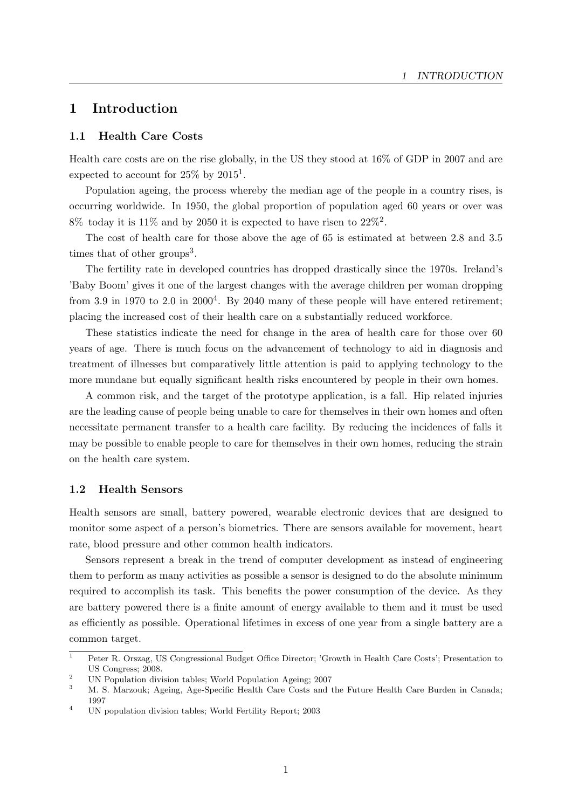# <span id="page-8-0"></span>1 Introduction

#### <span id="page-8-1"></span>1.1 Health Care Costs

Health care costs are on the rise globally, in the US they stood at 16% of GDP in 2007 and are expected to account for  $25\%$  by  $2015^1$  $2015^1$  $2015^1$ .

Population ageing, the process whereby the median age of the people in a country rises, is occurring worldwide. In 1950, the global proportion of population aged 60 years or over was  $8\%$  today it is 11% and by [2](#page-8-4)050 it is expected to have risen to  $22\%$ <sup>2</sup>.

The cost of health care for those above the age of 65 is estimated at between 2.8 and 3.5 times that of other groups<sup>[3](#page-8-5)</sup>.

The fertility rate in developed countries has dropped drastically since the 1970s. Ireland's 'Baby Boom' gives it one of the largest changes with the average children per woman dropping from 3.9 in 1970 to 2.0 in  $2000<sup>4</sup>$  $2000<sup>4</sup>$  $2000<sup>4</sup>$ . By 2040 many of these people will have entered retirement; placing the increased cost of their health care on a substantially reduced workforce.

These statistics indicate the need for change in the area of health care for those over 60 years of age. There is much focus on the advancement of technology to aid in diagnosis and treatment of illnesses but comparatively little attention is paid to applying technology to the more mundane but equally significant health risks encountered by people in their own homes.

A common risk, and the target of the prototype application, is a fall. Hip related injuries are the leading cause of people being unable to care for themselves in their own homes and often necessitate permanent transfer to a health care facility. By reducing the incidences of falls it may be possible to enable people to care for themselves in their own homes, reducing the strain on the health care system.

#### <span id="page-8-2"></span>1.2 Health Sensors

Health sensors are small, battery powered, wearable electronic devices that are designed to monitor some aspect of a person's biometrics. There are sensors available for movement, heart rate, blood pressure and other common health indicators.

Sensors represent a break in the trend of computer development as instead of engineering them to perform as many activities as possible a sensor is designed to do the absolute minimum required to accomplish its task. This benefits the power consumption of the device. As they are battery powered there is a finite amount of energy available to them and it must be used as efficiently as possible. Operational lifetimes in excess of one year from a single battery are a common target.

<span id="page-8-3"></span><sup>&</sup>lt;sup>1</sup> Peter R. Orszag, US Congressional Budget Office Director; 'Growth in Health Care Costs'; Presentation to US Congress; 2008.

<span id="page-8-4"></span><sup>&</sup>lt;sup>2</sup> UN Population division tables; World Population Ageing; 2007<br><sup>3</sup> M. S. Margauk: Ageing, Age Specific Hoalth Care Costs and

<span id="page-8-5"></span><sup>3</sup> M. S. Marzouk; Ageing, Age-Specific Health Care Costs and the Future Health Care Burden in Canada; 1997

<span id="page-8-6"></span><sup>4</sup> UN population division tables; World Fertility Report; 2003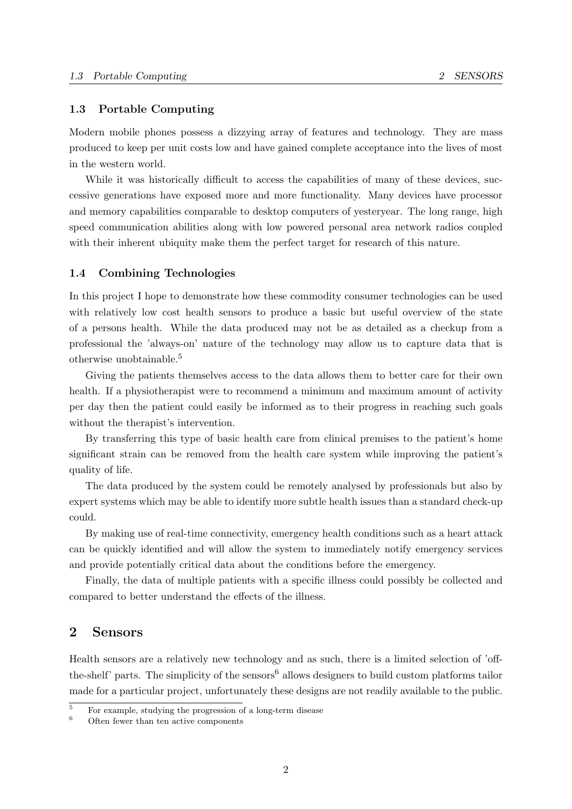#### <span id="page-9-0"></span>1.3 Portable Computing

Modern mobile phones possess a dizzying array of features and technology. They are mass produced to keep per unit costs low and have gained complete acceptance into the lives of most in the western world.

While it was historically difficult to access the capabilities of many of these devices, successive generations have exposed more and more functionality. Many devices have processor and memory capabilities comparable to desktop computers of yesteryear. The long range, high speed communication abilities along with low powered personal area network radios coupled with their inherent ubiquity make them the perfect target for research of this nature.

#### <span id="page-9-1"></span>1.4 Combining Technologies

In this project I hope to demonstrate how these commodity consumer technologies can be used with relatively low cost health sensors to produce a basic but useful overview of the state of a persons health. While the data produced may not be as detailed as a checkup from a professional the 'always-on' nature of the technology may allow us to capture data that is otherwise unobtainable.[5](#page-9-3)

Giving the patients themselves access to the data allows them to better care for their own health. If a physiotherapist were to recommend a minimum and maximum amount of activity per day then the patient could easily be informed as to their progress in reaching such goals without the therapist's intervention.

By transferring this type of basic health care from clinical premises to the patient's home significant strain can be removed from the health care system while improving the patient's quality of life.

The data produced by the system could be remotely analysed by professionals but also by expert systems which may be able to identify more subtle health issues than a standard check-up could.

By making use of real-time connectivity, emergency health conditions such as a heart attack can be quickly identified and will allow the system to immediately notify emergency services and provide potentially critical data about the conditions before the emergency.

Finally, the data of multiple patients with a specific illness could possibly be collected and compared to better understand the effects of the illness.

# <span id="page-9-2"></span>2 Sensors

Health sensors are a relatively new technology and as such, there is a limited selection of 'off-the-shelf' parts. The simplicity of the sensors<sup>[6](#page-9-4)</sup> allows designers to build custom platforms tailor made for a particular project, unfortunately these designs are not readily available to the public.

<span id="page-9-3"></span> $\frac{5}{6}$  For example, studying the progression of a long-term disease

<span id="page-9-4"></span>Often fewer than ten active components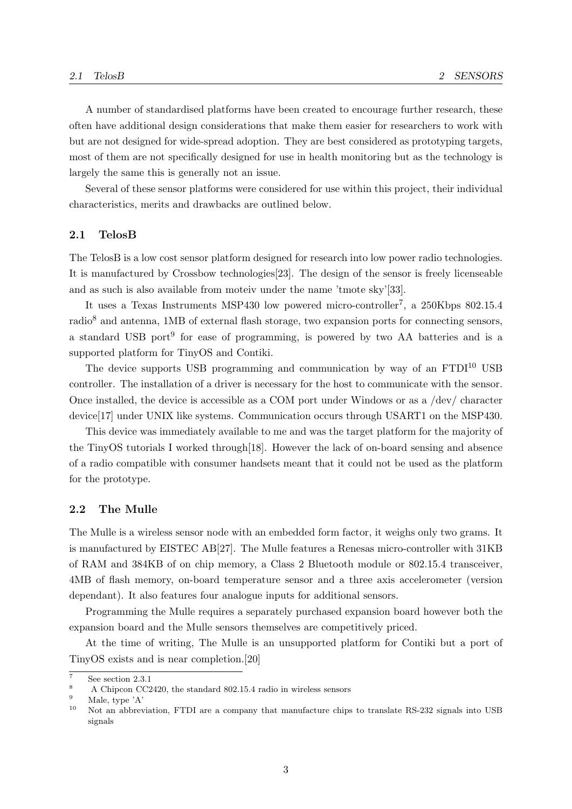A number of standardised platforms have been created to encourage further research, these often have additional design considerations that make them easier for researchers to work with but are not designed for wide-spread adoption. They are best considered as prototyping targets, most of them are not specifically designed for use in health monitoring but as the technology is largely the same this is generally not an issue.

Several of these sensor platforms were considered for use within this project, their individual characteristics, merits and drawbacks are outlined below.

### <span id="page-10-0"></span>2.1 TelosB

The TelosB is a low cost sensor platform designed for research into low power radio technologies. It is manufactured by Crossbow technologies[\[23\]](#page-47-0). The design of the sensor is freely licenseable and as such is also available from moteiv under the name 'tmote sky'[\[33\]](#page-47-1).

It uses a Texas Instruments MSP430 low powered micro-controller<sup>[7](#page-10-2)</sup>, a 250Kbps 802.15.4 radio[8](#page-10-3) and antenna, 1MB of external flash storage, two expansion ports for connecting sensors, a standard USB port<sup>[9](#page-10-4)</sup> for ease of programming, is powered by two AA batteries and is a supported platform for TinyOS and Contiki.

The device supports USB programming and communication by way of an  $FTDI^{10}$  $FTDI^{10}$  $FTDI^{10}$  USB controller. The installation of a driver is necessary for the host to communicate with the sensor. Once installed, the device is accessible as a COM port under Windows or as a /dev/ character device[\[17\]](#page-46-0) under UNIX like systems. Communication occurs through USART1 on the MSP430.

This device was immediately available to me and was the target platform for the majority of the TinyOS tutorials I worked through[\[18\]](#page-46-1). However the lack of on-board sensing and absence of a radio compatible with consumer handsets meant that it could not be used as the platform for the prototype.

### <span id="page-10-1"></span>2.2 The Mulle

The Mulle is a wireless sensor node with an embedded form factor, it weighs only two grams. It is manufactured by EISTEC AB[\[27\]](#page-47-2). The Mulle features a Renesas micro-controller with 31KB of RAM and 384KB of on chip memory, a Class 2 Bluetooth module or 802.15.4 transceiver, 4MB of flash memory, on-board temperature sensor and a three axis accelerometer (version dependant). It also features four analogue inputs for additional sensors.

Programming the Mulle requires a separately purchased expansion board however both the expansion board and the Mulle sensors themselves are competitively priced.

At the time of writing, The Mulle is an unsupported platform for Contiki but a port of TinyOS exists and is near completion.[\[20\]](#page-46-2)

<span id="page-10-4"></span> $\frac{9}{10}$  Male, type 'A'

<span id="page-10-2"></span> $\frac{7}{8}$  See section [2.3.1](#page-11-1)

<span id="page-10-3"></span><sup>&</sup>lt;sup>8</sup> A Chipcon CC2420, the standard 802.15.4 radio in wireless sensors

<span id="page-10-5"></span>Not an abbreviation, FTDI are a company that manufacture chips to translate RS-232 signals into USB signals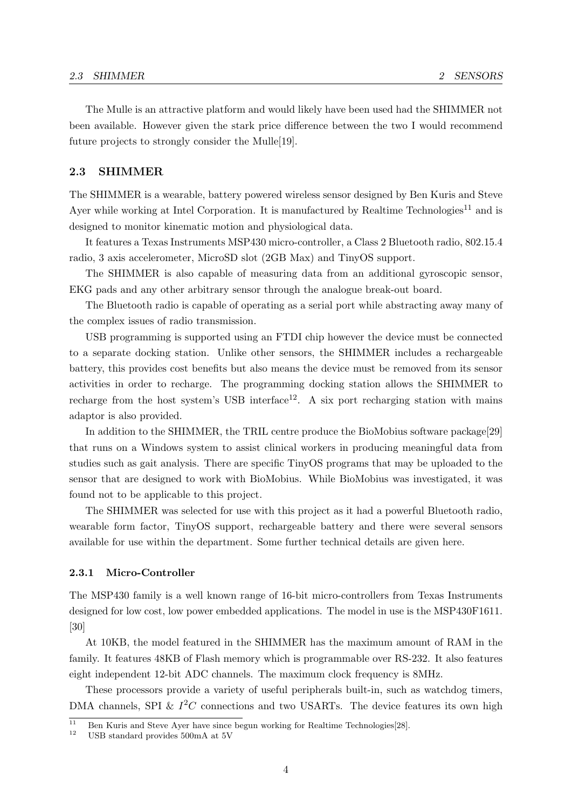The Mulle is an attractive platform and would likely have been used had the SHIMMER not been available. However given the stark price difference between the two I would recommend future projects to strongly consider the Mulle[\[19\]](#page-46-3).

#### <span id="page-11-0"></span>2.3 SHIMMER

The SHIMMER is a wearable, battery powered wireless sensor designed by Ben Kuris and Steve Ayer while working at Intel Corporation. It is manufactured by Realtime Technologies<sup>[11](#page-11-2)</sup> and is designed to monitor kinematic motion and physiological data.

It features a Texas Instruments MSP430 micro-controller, a Class 2 Bluetooth radio, 802.15.4 radio, 3 axis accelerometer, MicroSD slot (2GB Max) and TinyOS support.

The SHIMMER is also capable of measuring data from an additional gyroscopic sensor, EKG pads and any other arbitrary sensor through the analogue break-out board.

The Bluetooth radio is capable of operating as a serial port while abstracting away many of the complex issues of radio transmission.

USB programming is supported using an FTDI chip however the device must be connected to a separate docking station. Unlike other sensors, the SHIMMER includes a rechargeable battery, this provides cost benefits but also means the device must be removed from its sensor activities in order to recharge. The programming docking station allows the SHIMMER to recharge from the host system's USB interface<sup>[12](#page-11-3)</sup>. A six port recharging station with mains adaptor is also provided.

In addition to the SHIMMER, the TRIL centre produce the BioMobius software package[\[29\]](#page-47-3) that runs on a Windows system to assist clinical workers in producing meaningful data from studies such as gait analysis. There are specific TinyOS programs that may be uploaded to the sensor that are designed to work with BioMobius. While BioMobius was investigated, it was found not to be applicable to this project.

The SHIMMER was selected for use with this project as it had a powerful Bluetooth radio, wearable form factor, TinyOS support, rechargeable battery and there were several sensors available for use within the department. Some further technical details are given here.

#### <span id="page-11-1"></span>2.3.1 Micro-Controller

The MSP430 family is a well known range of 16-bit micro-controllers from Texas Instruments designed for low cost, low power embedded applications. The model in use is the MSP430F1611. [\[30\]](#page-47-4)

At 10KB, the model featured in the SHIMMER has the maximum amount of RAM in the family. It features 48KB of Flash memory which is programmable over RS-232. It also features eight independent 12-bit ADC channels. The maximum clock frequency is 8MHz.

These processors provide a variety of useful peripherals built-in, such as watchdog timers, DMA channels, SPI &  $I^2C$  connections and two USARTs. The device features its own high

<span id="page-11-2"></span> $\frac{11}{11}$  Ben Kuris and Steve Ayer have since begun working for Realtime Technologies[\[28\]](#page-47-5).

<span id="page-11-3"></span><sup>12</sup> USB standard provides 500mA at 5V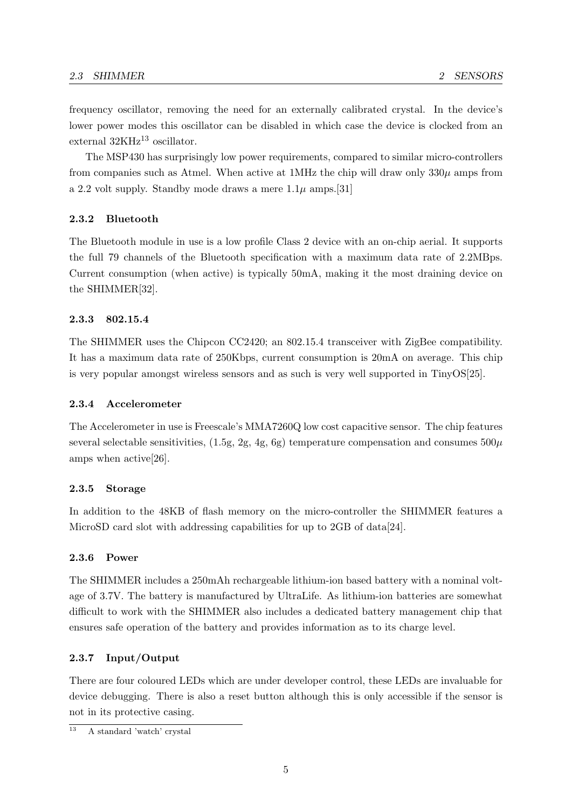frequency oscillator, removing the need for an externally calibrated crystal. In the device's lower power modes this oscillator can be disabled in which case the device is clocked from an external  $32KHz^{13}$  $32KHz^{13}$  $32KHz^{13}$  oscillator.

The MSP430 has surprisingly low power requirements, compared to similar micro-controllers from companies such as Atmel. When active at 1MHz the chip will draw only  $330\mu$  amps from a 2.2 volt supply. Standby mode draws a mere  $1.1\mu$  amps. [\[31\]](#page-47-6)

#### <span id="page-12-0"></span>2.3.2 Bluetooth

The Bluetooth module in use is a low profile Class 2 device with an on-chip aerial. It supports the full 79 channels of the Bluetooth specification with a maximum data rate of 2.2MBps. Current consumption (when active) is typically 50mA, making it the most draining device on the SHIMMER[\[32\]](#page-47-7).

#### <span id="page-12-1"></span>2.3.3 802.15.4

The SHIMMER uses the Chipcon CC2420; an 802.15.4 transceiver with ZigBee compatibility. It has a maximum data rate of 250Kbps, current consumption is 20mA on average. This chip is very popular amongst wireless sensors and as such is very well supported in TinyOS[\[25\]](#page-47-8).

#### <span id="page-12-2"></span>2.3.4 Accelerometer

The Accelerometer in use is Freescale's MMA7260Q low cost capacitive sensor. The chip features several selectable sensitivities,  $(1.5g, 2g, 4g, 6g)$  temperature compensation and consumes  $500\mu$ amps when active[\[26\]](#page-47-9).

#### <span id="page-12-3"></span>2.3.5 Storage

In addition to the 48KB of flash memory on the micro-controller the SHIMMER features a MicroSD card slot with addressing capabilities for up to 2GB of data[\[24\]](#page-47-10).

#### <span id="page-12-4"></span>2.3.6 Power

The SHIMMER includes a 250mAh rechargeable lithium-ion based battery with a nominal voltage of 3.7V. The battery is manufactured by UltraLife. As lithium-ion batteries are somewhat difficult to work with the SHIMMER also includes a dedicated battery management chip that ensures safe operation of the battery and provides information as to its charge level.

#### <span id="page-12-5"></span>2.3.7 Input/Output

There are four coloured LEDs which are under developer control, these LEDs are invaluable for device debugging. There is also a reset button although this is only accessible if the sensor is not in its protective casing.

<span id="page-12-6"></span><sup>13</sup> A standard 'watch' crystal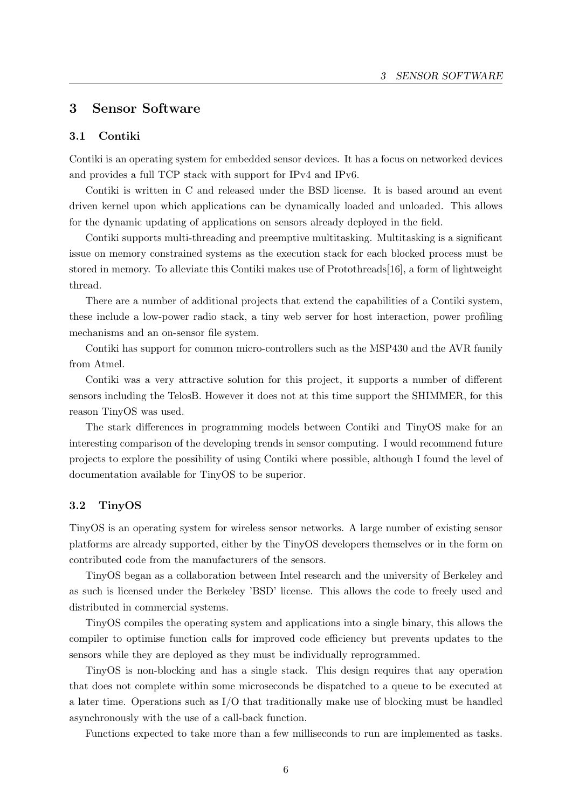# <span id="page-13-0"></span>3 Sensor Software

### <span id="page-13-1"></span>3.1 Contiki

Contiki is an operating system for embedded sensor devices. It has a focus on networked devices and provides a full TCP stack with support for IPv4 and IPv6.

Contiki is written in C and released under the BSD license. It is based around an event driven kernel upon which applications can be dynamically loaded and unloaded. This allows for the dynamic updating of applications on sensors already deployed in the field.

Contiki supports multi-threading and preemptive multitasking. Multitasking is a significant issue on memory constrained systems as the execution stack for each blocked process must be stored in memory. To alleviate this Contiki makes use of Protothreads[\[16\]](#page-46-4), a form of lightweight thread.

There are a number of additional projects that extend the capabilities of a Contiki system, these include a low-power radio stack, a tiny web server for host interaction, power profiling mechanisms and an on-sensor file system.

Contiki has support for common micro-controllers such as the MSP430 and the AVR family from Atmel.

Contiki was a very attractive solution for this project, it supports a number of different sensors including the TelosB. However it does not at this time support the SHIMMER, for this reason TinyOS was used.

The stark differences in programming models between Contiki and TinyOS make for an interesting comparison of the developing trends in sensor computing. I would recommend future projects to explore the possibility of using Contiki where possible, although I found the level of documentation available for TinyOS to be superior.

### <span id="page-13-2"></span>3.2 TinyOS

TinyOS is an operating system for wireless sensor networks. A large number of existing sensor platforms are already supported, either by the TinyOS developers themselves or in the form on contributed code from the manufacturers of the sensors.

TinyOS began as a collaboration between Intel research and the university of Berkeley and as such is licensed under the Berkeley 'BSD' license. This allows the code to freely used and distributed in commercial systems.

TinyOS compiles the operating system and applications into a single binary, this allows the compiler to optimise function calls for improved code efficiency but prevents updates to the sensors while they are deployed as they must be individually reprogrammed.

TinyOS is non-blocking and has a single stack. This design requires that any operation that does not complete within some microseconds be dispatched to a queue to be executed at a later time. Operations such as I/O that traditionally make use of blocking must be handled asynchronously with the use of a call-back function.

Functions expected to take more than a few milliseconds to run are implemented as tasks.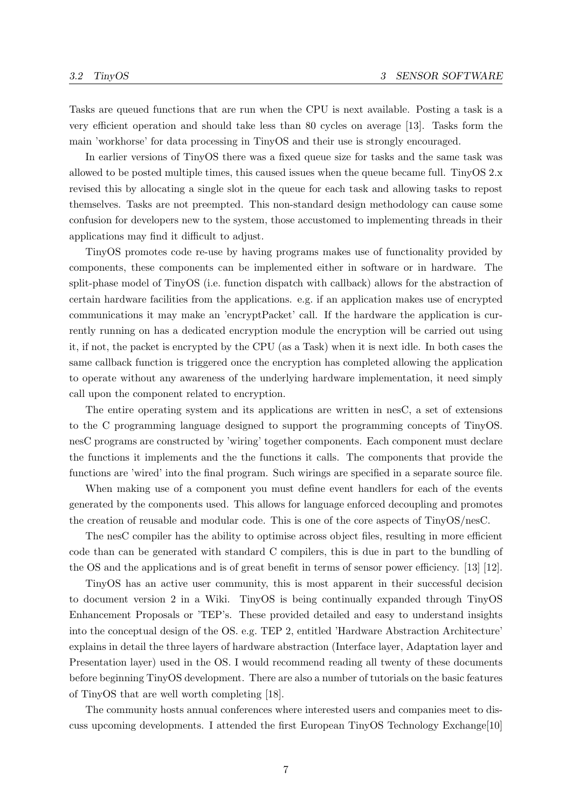Tasks are queued functions that are run when the CPU is next available. Posting a task is a very efficient operation and should take less than 80 cycles on average [\[13\]](#page-46-5). Tasks form the main 'workhorse' for data processing in TinyOS and their use is strongly encouraged.

In earlier versions of TinyOS there was a fixed queue size for tasks and the same task was allowed to be posted multiple times, this caused issues when the queue became full. TinyOS 2.x revised this by allocating a single slot in the queue for each task and allowing tasks to repost themselves. Tasks are not preempted. This non-standard design methodology can cause some confusion for developers new to the system, those accustomed to implementing threads in their applications may find it difficult to adjust.

TinyOS promotes code re-use by having programs makes use of functionality provided by components, these components can be implemented either in software or in hardware. The split-phase model of TinyOS (i.e. function dispatch with callback) allows for the abstraction of certain hardware facilities from the applications. e.g. if an application makes use of encrypted communications it may make an 'encryptPacket' call. If the hardware the application is currently running on has a dedicated encryption module the encryption will be carried out using it, if not, the packet is encrypted by the CPU (as a Task) when it is next idle. In both cases the same callback function is triggered once the encryption has completed allowing the application to operate without any awareness of the underlying hardware implementation, it need simply call upon the component related to encryption.

The entire operating system and its applications are written in nesC, a set of extensions to the C programming language designed to support the programming concepts of TinyOS. nesC programs are constructed by 'wiring' together components. Each component must declare the functions it implements and the the functions it calls. The components that provide the functions are 'wired' into the final program. Such wirings are specified in a separate source file.

When making use of a component you must define event handlers for each of the events generated by the components used. This allows for language enforced decoupling and promotes the creation of reusable and modular code. This is one of the core aspects of TinyOS/nesC.

The nesC compiler has the ability to optimise across object files, resulting in more efficient code than can be generated with standard C compilers, this is due in part to the bundling of the OS and the applications and is of great benefit in terms of sensor power efficiency. [\[13\]](#page-46-5) [\[12\]](#page-46-6).

TinyOS has an active user community, this is most apparent in their successful decision to document version 2 in a Wiki. TinyOS is being continually expanded through TinyOS Enhancement Proposals or 'TEP's. These provided detailed and easy to understand insights into the conceptual design of the OS. e.g. TEP 2, entitled 'Hardware Abstraction Architecture' explains in detail the three layers of hardware abstraction (Interface layer, Adaptation layer and Presentation layer) used in the OS. I would recommend reading all twenty of these documents before beginning TinyOS development. There are also a number of tutorials on the basic features of TinyOS that are well worth completing [\[18\]](#page-46-1).

The community hosts annual conferences where interested users and companies meet to discuss upcoming developments. I attended the first European TinyOS Technology Exchange[\[10\]](#page-46-7)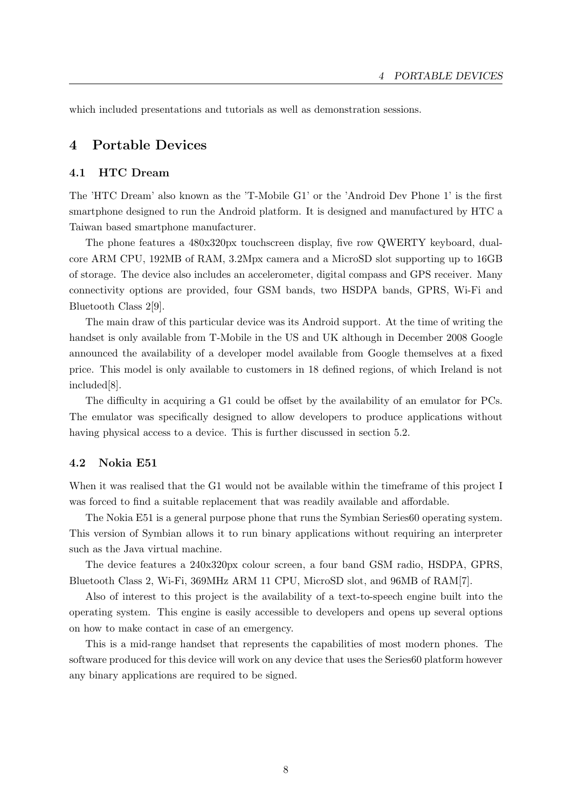which included presentations and tutorials as well as demonstration sessions.

# <span id="page-15-0"></span>4 Portable Devices

### <span id="page-15-1"></span>4.1 HTC Dream

The 'HTC Dream' also known as the 'T-Mobile G1' or the 'Android Dev Phone 1' is the first smartphone designed to run the Android platform. It is designed and manufactured by HTC a Taiwan based smartphone manufacturer.

The phone features a 480x320px touchscreen display, five row QWERTY keyboard, dualcore ARM CPU, 192MB of RAM, 3.2Mpx camera and a MicroSD slot supporting up to 16GB of storage. The device also includes an accelerometer, digital compass and GPS receiver. Many connectivity options are provided, four GSM bands, two HSDPA bands, GPRS, Wi-Fi and Bluetooth Class 2[\[9\]](#page-46-8).

The main draw of this particular device was its Android support. At the time of writing the handset is only available from T-Mobile in the US and UK although in December 2008 Google announced the availability of a developer model available from Google themselves at a fixed price. This model is only available to customers in 18 defined regions, of which Ireland is not included[\[8\]](#page-46-9).

The difficulty in acquiring a G1 could be offset by the availability of an emulator for PCs. The emulator was specifically designed to allow developers to produce applications without having physical access to a device. This is further discussed in section [5.2.](#page-16-2)

#### <span id="page-15-2"></span>4.2 Nokia E51

When it was realised that the G1 would not be available within the timeframe of this project I was forced to find a suitable replacement that was readily available and affordable.

The Nokia E51 is a general purpose phone that runs the Symbian Series60 operating system. This version of Symbian allows it to run binary applications without requiring an interpreter such as the Java virtual machine.

The device features a 240x320px colour screen, a four band GSM radio, HSDPA, GPRS, Bluetooth Class 2, Wi-Fi, 369MHz ARM 11 CPU, MicroSD slot, and 96MB of RAM[\[7\]](#page-46-10).

Also of interest to this project is the availability of a text-to-speech engine built into the operating system. This engine is easily accessible to developers and opens up several options on how to make contact in case of an emergency.

This is a mid-range handset that represents the capabilities of most modern phones. The software produced for this device will work on any device that uses the Series60 platform however any binary applications are required to be signed.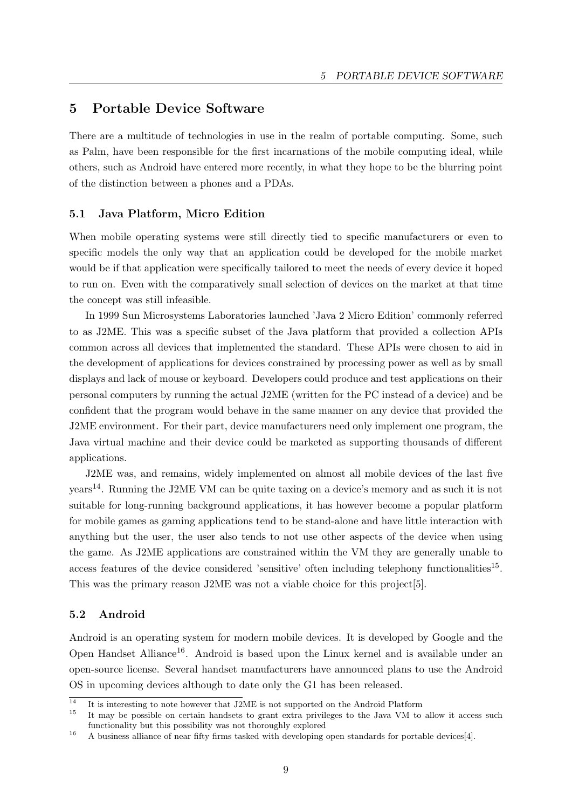# <span id="page-16-0"></span>5 Portable Device Software

There are a multitude of technologies in use in the realm of portable computing. Some, such as Palm, have been responsible for the first incarnations of the mobile computing ideal, while others, such as Android have entered more recently, in what they hope to be the blurring point of the distinction between a phones and a PDAs.

#### <span id="page-16-1"></span>5.1 Java Platform, Micro Edition

When mobile operating systems were still directly tied to specific manufacturers or even to specific models the only way that an application could be developed for the mobile market would be if that application were specifically tailored to meet the needs of every device it hoped to run on. Even with the comparatively small selection of devices on the market at that time the concept was still infeasible.

In 1999 Sun Microsystems Laboratories launched 'Java 2 Micro Edition' commonly referred to as J2ME. This was a specific subset of the Java platform that provided a collection APIs common across all devices that implemented the standard. These APIs were chosen to aid in the development of applications for devices constrained by processing power as well as by small displays and lack of mouse or keyboard. Developers could produce and test applications on their personal computers by running the actual J2ME (written for the PC instead of a device) and be confident that the program would behave in the same manner on any device that provided the J2ME environment. For their part, device manufacturers need only implement one program, the Java virtual machine and their device could be marketed as supporting thousands of different applications.

J2ME was, and remains, widely implemented on almost all mobile devices of the last five years[14](#page-16-3). Running the J2ME VM can be quite taxing on a device's memory and as such it is not suitable for long-running background applications, it has however become a popular platform for mobile games as gaming applications tend to be stand-alone and have little interaction with anything but the user, the user also tends to not use other aspects of the device when using the game. As J2ME applications are constrained within the VM they are generally unable to access features of the device considered 'sensitive' often including telephony functionalities<sup>[15](#page-16-4)</sup>. This was the primary reason J2ME was not a viable choice for this project[\[5\]](#page-45-2).

### <span id="page-16-2"></span>5.2 Android

Android is an operating system for modern mobile devices. It is developed by Google and the Open Handset Alliance<sup>[16](#page-16-5)</sup>. Android is based upon the Linux kernel and is available under an open-source license. Several handset manufacturers have announced plans to use the Android OS in upcoming devices although to date only the G1 has been released.

<span id="page-16-3"></span> $\frac{14}{14}$  It is interesting to note however that J2ME is not supported on the Android Platform

<span id="page-16-4"></span><sup>15</sup> It may be possible on certain handsets to grant extra privileges to the Java VM to allow it access such functionality but this possibility was not thoroughly explored

<span id="page-16-5"></span><sup>&</sup>lt;sup>16</sup> A business alliance of near fifty firms tasked with developing open standards for portable devices[\[4\]](#page-45-3).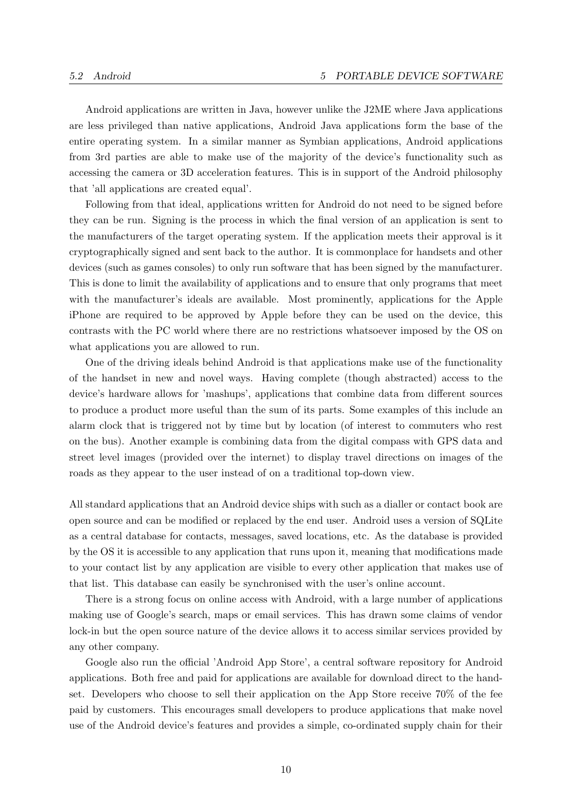Android applications are written in Java, however unlike the J2ME where Java applications are less privileged than native applications, Android Java applications form the base of the entire operating system. In a similar manner as Symbian applications, Android applications from 3rd parties are able to make use of the majority of the device's functionality such as accessing the camera or 3D acceleration features. This is in support of the Android philosophy that 'all applications are created equal'.

Following from that ideal, applications written for Android do not need to be signed before they can be run. Signing is the process in which the final version of an application is sent to the manufacturers of the target operating system. If the application meets their approval is it cryptographically signed and sent back to the author. It is commonplace for handsets and other devices (such as games consoles) to only run software that has been signed by the manufacturer. This is done to limit the availability of applications and to ensure that only programs that meet with the manufacturer's ideals are available. Most prominently, applications for the Apple iPhone are required to be approved by Apple before they can be used on the device, this contrasts with the PC world where there are no restrictions whatsoever imposed by the OS on what applications you are allowed to run.

One of the driving ideals behind Android is that applications make use of the functionality of the handset in new and novel ways. Having complete (though abstracted) access to the device's hardware allows for 'mashups', applications that combine data from different sources to produce a product more useful than the sum of its parts. Some examples of this include an alarm clock that is triggered not by time but by location (of interest to commuters who rest on the bus). Another example is combining data from the digital compass with GPS data and street level images (provided over the internet) to display travel directions on images of the roads as they appear to the user instead of on a traditional top-down view.

All standard applications that an Android device ships with such as a dialler or contact book are open source and can be modified or replaced by the end user. Android uses a version of SQLite as a central database for contacts, messages, saved locations, etc. As the database is provided by the OS it is accessible to any application that runs upon it, meaning that modifications made to your contact list by any application are visible to every other application that makes use of that list. This database can easily be synchronised with the user's online account.

There is a strong focus on online access with Android, with a large number of applications making use of Google's search, maps or email services. This has drawn some claims of vendor lock-in but the open source nature of the device allows it to access similar services provided by any other company.

Google also run the official 'Android App Store', a central software repository for Android applications. Both free and paid for applications are available for download direct to the handset. Developers who choose to sell their application on the App Store receive 70% of the fee paid by customers. This encourages small developers to produce applications that make novel use of the Android device's features and provides a simple, co-ordinated supply chain for their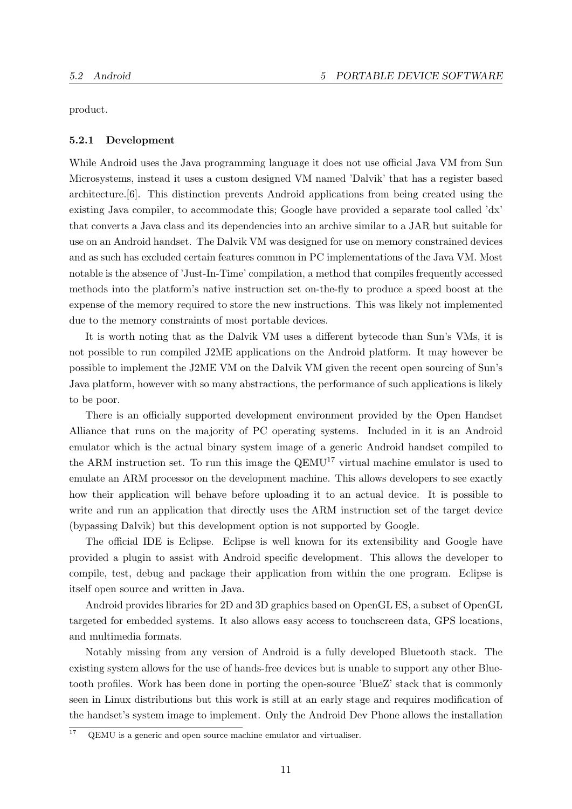product.

#### <span id="page-18-0"></span>5.2.1 Development

While Android uses the Java programming language it does not use official Java VM from Sun Microsystems, instead it uses a custom designed VM named 'Dalvik' that has a register based architecture.[\[6\]](#page-45-4). This distinction prevents Android applications from being created using the existing Java compiler, to accommodate this; Google have provided a separate tool called 'dx' that converts a Java class and its dependencies into an archive similar to a JAR but suitable for use on an Android handset. The Dalvik VM was designed for use on memory constrained devices and as such has excluded certain features common in PC implementations of the Java VM. Most notable is the absence of 'Just-In-Time' compilation, a method that compiles frequently accessed methods into the platform's native instruction set on-the-fly to produce a speed boost at the expense of the memory required to store the new instructions. This was likely not implemented due to the memory constraints of most portable devices.

It is worth noting that as the Dalvik VM uses a different bytecode than Sun's VMs, it is not possible to run compiled J2ME applications on the Android platform. It may however be possible to implement the J2ME VM on the Dalvik VM given the recent open sourcing of Sun's Java platform, however with so many abstractions, the performance of such applications is likely to be poor.

There is an officially supported development environment provided by the Open Handset Alliance that runs on the majority of PC operating systems. Included in it is an Android emulator which is the actual binary system image of a generic Android handset compiled to the ARM instruction set. To run this image the  $QEMU^{17}$  $QEMU^{17}$  $QEMU^{17}$  virtual machine emulator is used to emulate an ARM processor on the development machine. This allows developers to see exactly how their application will behave before uploading it to an actual device. It is possible to write and run an application that directly uses the ARM instruction set of the target device (bypassing Dalvik) but this development option is not supported by Google.

The official IDE is Eclipse. Eclipse is well known for its extensibility and Google have provided a plugin to assist with Android specific development. This allows the developer to compile, test, debug and package their application from within the one program. Eclipse is itself open source and written in Java.

Android provides libraries for 2D and 3D graphics based on OpenGL ES, a subset of OpenGL targeted for embedded systems. It also allows easy access to touchscreen data, GPS locations, and multimedia formats.

Notably missing from any version of Android is a fully developed Bluetooth stack. The existing system allows for the use of hands-free devices but is unable to support any other Bluetooth profiles. Work has been done in porting the open-source 'BlueZ' stack that is commonly seen in Linux distributions but this work is still at an early stage and requires modification of the handset's system image to implement. Only the Android Dev Phone allows the installation

<span id="page-18-1"></span> $\frac{17}{17}$  QEMU is a generic and open source machine emulator and virtualiser.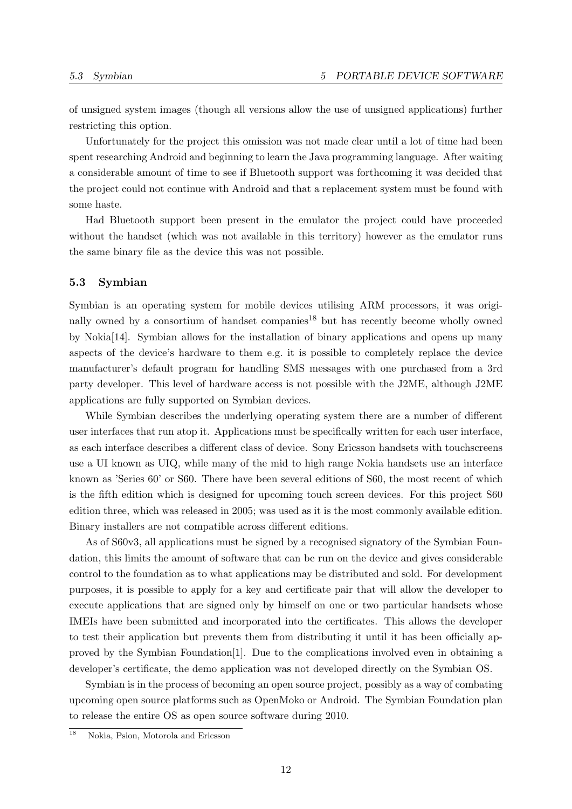of unsigned system images (though all versions allow the use of unsigned applications) further restricting this option.

Unfortunately for the project this omission was not made clear until a lot of time had been spent researching Android and beginning to learn the Java programming language. After waiting a considerable amount of time to see if Bluetooth support was forthcoming it was decided that the project could not continue with Android and that a replacement system must be found with some haste.

Had Bluetooth support been present in the emulator the project could have proceeded without the handset (which was not available in this territory) however as the emulator runs the same binary file as the device this was not possible.

#### <span id="page-19-0"></span>5.3 Symbian

Symbian is an operating system for mobile devices utilising ARM processors, it was origi-nally owned by a consortium of handset companies<sup>[18](#page-19-1)</sup> but has recently become wholly owned by Nokia[\[14\]](#page-46-11). Symbian allows for the installation of binary applications and opens up many aspects of the device's hardware to them e.g. it is possible to completely replace the device manufacturer's default program for handling SMS messages with one purchased from a 3rd party developer. This level of hardware access is not possible with the J2ME, although J2ME applications are fully supported on Symbian devices.

While Symbian describes the underlying operating system there are a number of different user interfaces that run atop it. Applications must be specifically written for each user interface, as each interface describes a different class of device. Sony Ericsson handsets with touchscreens use a UI known as UIQ, while many of the mid to high range Nokia handsets use an interface known as 'Series 60' or S60. There have been several editions of S60, the most recent of which is the fifth edition which is designed for upcoming touch screen devices. For this project S60 edition three, which was released in 2005; was used as it is the most commonly available edition. Binary installers are not compatible across different editions.

As of S60v3, all applications must be signed by a recognised signatory of the Symbian Foundation, this limits the amount of software that can be run on the device and gives considerable control to the foundation as to what applications may be distributed and sold. For development purposes, it is possible to apply for a key and certificate pair that will allow the developer to execute applications that are signed only by himself on one or two particular handsets whose IMEIs have been submitted and incorporated into the certificates. This allows the developer to test their application but prevents them from distributing it until it has been officially approved by the Symbian Foundation[\[1\]](#page-45-5). Due to the complications involved even in obtaining a developer's certificate, the demo application was not developed directly on the Symbian OS.

Symbian is in the process of becoming an open source project, possibly as a way of combating upcoming open source platforms such as OpenMoko or Android. The Symbian Foundation plan to release the entire OS as open source software during 2010.

<span id="page-19-1"></span><sup>&</sup>lt;sup>18</sup> Nokia, Psion, Motorola and Ericsson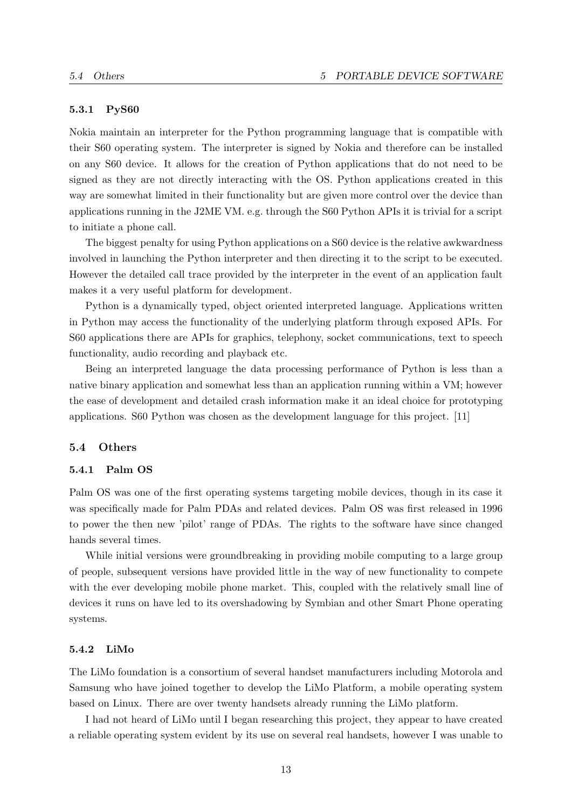#### <span id="page-20-0"></span>5.3.1 PyS60

Nokia maintain an interpreter for the Python programming language that is compatible with their S60 operating system. The interpreter is signed by Nokia and therefore can be installed on any S60 device. It allows for the creation of Python applications that do not need to be signed as they are not directly interacting with the OS. Python applications created in this way are somewhat limited in their functionality but are given more control over the device than applications running in the J2ME VM. e.g. through the S60 Python APIs it is trivial for a script to initiate a phone call.

The biggest penalty for using Python applications on a S60 device is the relative awkwardness involved in launching the Python interpreter and then directing it to the script to be executed. However the detailed call trace provided by the interpreter in the event of an application fault makes it a very useful platform for development.

Python is a dynamically typed, object oriented interpreted language. Applications written in Python may access the functionality of the underlying platform through exposed APIs. For S60 applications there are APIs for graphics, telephony, socket communications, text to speech functionality, audio recording and playback etc.

Being an interpreted language the data processing performance of Python is less than a native binary application and somewhat less than an application running within a VM; however the ease of development and detailed crash information make it an ideal choice for prototyping applications. S60 Python was chosen as the development language for this project. [\[11\]](#page-46-12)

#### <span id="page-20-1"></span>5.4 Others

#### <span id="page-20-2"></span>5.4.1 Palm OS

Palm OS was one of the first operating systems targeting mobile devices, though in its case it was specifically made for Palm PDAs and related devices. Palm OS was first released in 1996 to power the then new 'pilot' range of PDAs. The rights to the software have since changed hands several times.

While initial versions were groundbreaking in providing mobile computing to a large group of people, subsequent versions have provided little in the way of new functionality to compete with the ever developing mobile phone market. This, coupled with the relatively small line of devices it runs on have led to its overshadowing by Symbian and other Smart Phone operating systems.

#### <span id="page-20-3"></span>5.4.2 LiMo

The LiMo foundation is a consortium of several handset manufacturers including Motorola and Samsung who have joined together to develop the LiMo Platform, a mobile operating system based on Linux. There are over twenty handsets already running the LiMo platform.

I had not heard of LiMo until I began researching this project, they appear to have created a reliable operating system evident by its use on several real handsets, however I was unable to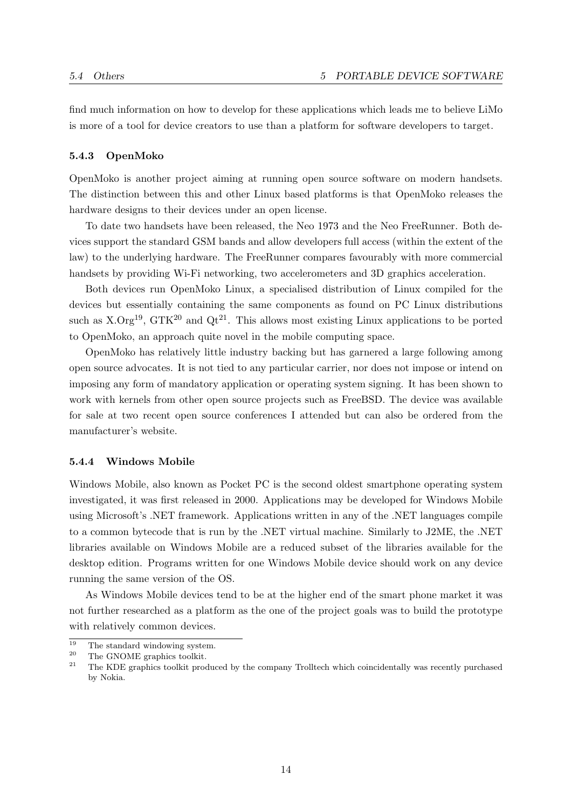find much information on how to develop for these applications which leads me to believe LiMo is more of a tool for device creators to use than a platform for software developers to target.

#### <span id="page-21-0"></span>5.4.3 OpenMoko

OpenMoko is another project aiming at running open source software on modern handsets. The distinction between this and other Linux based platforms is that OpenMoko releases the hardware designs to their devices under an open license.

To date two handsets have been released, the Neo 1973 and the Neo FreeRunner. Both devices support the standard GSM bands and allow developers full access (within the extent of the law) to the underlying hardware. The FreeRunner compares favourably with more commercial handsets by providing Wi-Fi networking, two accelerometers and 3D graphics acceleration.

Both devices run OpenMoko Linux, a specialised distribution of Linux compiled for the devices but essentially containing the same components as found on PC Linux distributions such as  $X.$  Org<sup>[19](#page-21-2)</sup>, GTK<sup>[20](#page-21-3)</sup> and Qt<sup>[21](#page-21-4)</sup>. This allows most existing Linux applications to be ported to OpenMoko, an approach quite novel in the mobile computing space.

OpenMoko has relatively little industry backing but has garnered a large following among open source advocates. It is not tied to any particular carrier, nor does not impose or intend on imposing any form of mandatory application or operating system signing. It has been shown to work with kernels from other open source projects such as FreeBSD. The device was available for sale at two recent open source conferences I attended but can also be ordered from the manufacturer's website.

#### <span id="page-21-1"></span>5.4.4 Windows Mobile

Windows Mobile, also known as Pocket PC is the second oldest smartphone operating system investigated, it was first released in 2000. Applications may be developed for Windows Mobile using Microsoft's .NET framework. Applications written in any of the .NET languages compile to a common bytecode that is run by the .NET virtual machine. Similarly to J2ME, the .NET libraries available on Windows Mobile are a reduced subset of the libraries available for the desktop edition. Programs written for one Windows Mobile device should work on any device running the same version of the OS.

As Windows Mobile devices tend to be at the higher end of the smart phone market it was not further researched as a platform as the one of the project goals was to build the prototype with relatively common devices.

<span id="page-21-2"></span><sup>&</sup>lt;sup>19</sup> The standard windowing system.

<span id="page-21-3"></span><sup>&</sup>lt;sup>20</sup> The GNOME graphics toolkit.<br><sup>21</sup> The KDE graphics toolkit process

<span id="page-21-4"></span><sup>21</sup> The KDE graphics toolkit produced by the company Trolltech which coincidentally was recently purchased by Nokia.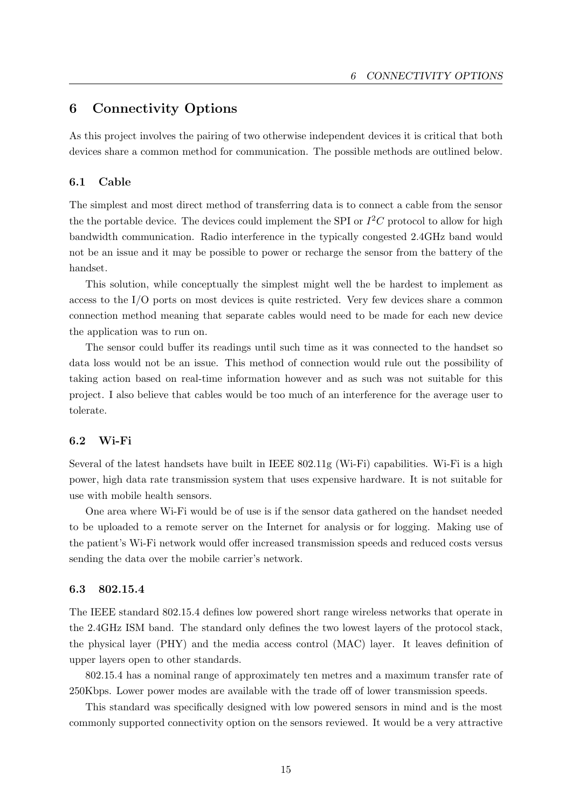# <span id="page-22-0"></span>6 Connectivity Options

As this project involves the pairing of two otherwise independent devices it is critical that both devices share a common method for communication. The possible methods are outlined below.

#### <span id="page-22-1"></span>6.1 Cable

The simplest and most direct method of transferring data is to connect a cable from the sensor the the portable device. The devices could implement the SPI or  $I^2C$  protocol to allow for high bandwidth communication. Radio interference in the typically congested 2.4GHz band would not be an issue and it may be possible to power or recharge the sensor from the battery of the handset.

This solution, while conceptually the simplest might well the be hardest to implement as access to the I/O ports on most devices is quite restricted. Very few devices share a common connection method meaning that separate cables would need to be made for each new device the application was to run on.

The sensor could buffer its readings until such time as it was connected to the handset so data loss would not be an issue. This method of connection would rule out the possibility of taking action based on real-time information however and as such was not suitable for this project. I also believe that cables would be too much of an interference for the average user to tolerate.

#### <span id="page-22-2"></span>6.2 Wi-Fi

Several of the latest handsets have built in IEEE 802.11g (Wi-Fi) capabilities. Wi-Fi is a high power, high data rate transmission system that uses expensive hardware. It is not suitable for use with mobile health sensors.

One area where Wi-Fi would be of use is if the sensor data gathered on the handset needed to be uploaded to a remote server on the Internet for analysis or for logging. Making use of the patient's Wi-Fi network would offer increased transmission speeds and reduced costs versus sending the data over the mobile carrier's network.

#### <span id="page-22-3"></span>6.3 802.15.4

The IEEE standard 802.15.4 defines low powered short range wireless networks that operate in the 2.4GHz ISM band. The standard only defines the two lowest layers of the protocol stack, the physical layer (PHY) and the media access control (MAC) layer. It leaves definition of upper layers open to other standards.

802.15.4 has a nominal range of approximately ten metres and a maximum transfer rate of 250Kbps. Lower power modes are available with the trade off of lower transmission speeds.

This standard was specifically designed with low powered sensors in mind and is the most commonly supported connectivity option on the sensors reviewed. It would be a very attractive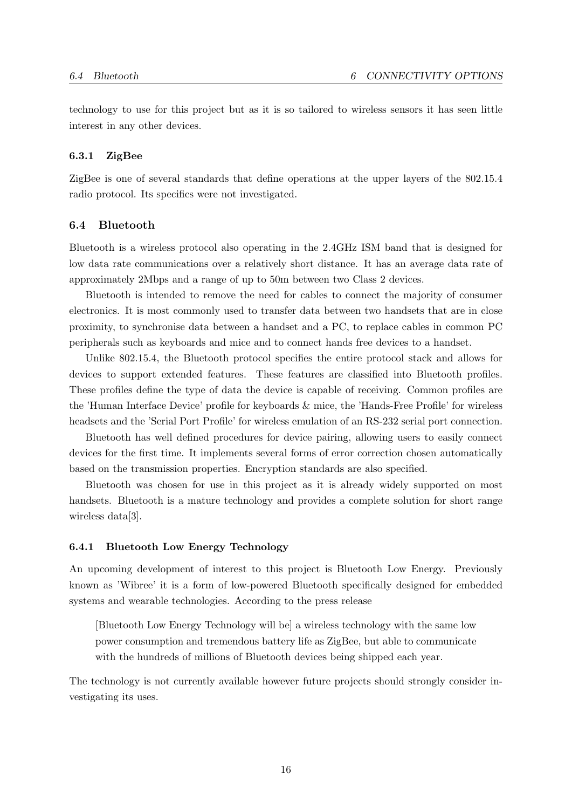technology to use for this project but as it is so tailored to wireless sensors it has seen little interest in any other devices.

#### <span id="page-23-0"></span>6.3.1 ZigBee

ZigBee is one of several standards that define operations at the upper layers of the 802.15.4 radio protocol. Its specifics were not investigated.

#### <span id="page-23-1"></span>6.4 Bluetooth

Bluetooth is a wireless protocol also operating in the 2.4GHz ISM band that is designed for low data rate communications over a relatively short distance. It has an average data rate of approximately 2Mbps and a range of up to 50m between two Class 2 devices.

Bluetooth is intended to remove the need for cables to connect the majority of consumer electronics. It is most commonly used to transfer data between two handsets that are in close proximity, to synchronise data between a handset and a PC, to replace cables in common PC peripherals such as keyboards and mice and to connect hands free devices to a handset.

Unlike 802.15.4, the Bluetooth protocol specifies the entire protocol stack and allows for devices to support extended features. These features are classified into Bluetooth profiles. These profiles define the type of data the device is capable of receiving. Common profiles are the 'Human Interface Device' profile for keyboards & mice, the 'Hands-Free Profile' for wireless headsets and the 'Serial Port Profile' for wireless emulation of an RS-232 serial port connection.

Bluetooth has well defined procedures for device pairing, allowing users to easily connect devices for the first time. It implements several forms of error correction chosen automatically based on the transmission properties. Encryption standards are also specified.

Bluetooth was chosen for use in this project as it is already widely supported on most handsets. Bluetooth is a mature technology and provides a complete solution for short range wireless data[\[3\]](#page-45-6).

#### <span id="page-23-2"></span>6.4.1 Bluetooth Low Energy Technology

An upcoming development of interest to this project is Bluetooth Low Energy. Previously known as 'Wibree' it is a form of low-powered Bluetooth specifically designed for embedded systems and wearable technologies. According to the press release

[Bluetooth Low Energy Technology will be] a wireless technology with the same low power consumption and tremendous battery life as ZigBee, but able to communicate with the hundreds of millions of Bluetooth devices being shipped each year.

The technology is not currently available however future projects should strongly consider investigating its uses.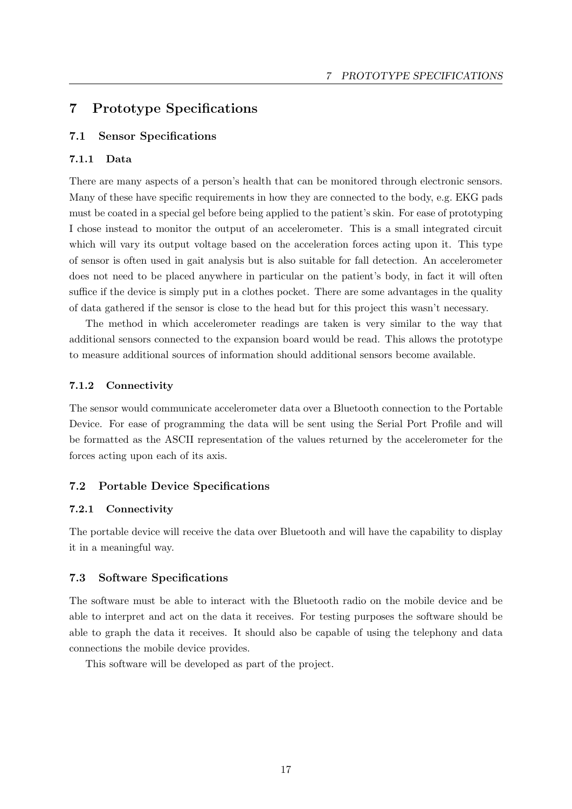# <span id="page-24-0"></span>7 Prototype Specifications

### <span id="page-24-1"></span>7.1 Sensor Specifications

#### <span id="page-24-2"></span>7.1.1 Data

There are many aspects of a person's health that can be monitored through electronic sensors. Many of these have specific requirements in how they are connected to the body, e.g. EKG pads must be coated in a special gel before being applied to the patient's skin. For ease of prototyping I chose instead to monitor the output of an accelerometer. This is a small integrated circuit which will vary its output voltage based on the acceleration forces acting upon it. This type of sensor is often used in gait analysis but is also suitable for fall detection. An accelerometer does not need to be placed anywhere in particular on the patient's body, in fact it will often suffice if the device is simply put in a clothes pocket. There are some advantages in the quality of data gathered if the sensor is close to the head but for this project this wasn't necessary.

The method in which accelerometer readings are taken is very similar to the way that additional sensors connected to the expansion board would be read. This allows the prototype to measure additional sources of information should additional sensors become available.

#### <span id="page-24-3"></span>7.1.2 Connectivity

The sensor would communicate accelerometer data over a Bluetooth connection to the Portable Device. For ease of programming the data will be sent using the Serial Port Profile and will be formatted as the ASCII representation of the values returned by the accelerometer for the forces acting upon each of its axis.

#### <span id="page-24-4"></span>7.2 Portable Device Specifications

#### <span id="page-24-5"></span>7.2.1 Connectivity

The portable device will receive the data over Bluetooth and will have the capability to display it in a meaningful way.

#### <span id="page-24-6"></span>7.3 Software Specifications

The software must be able to interact with the Bluetooth radio on the mobile device and be able to interpret and act on the data it receives. For testing purposes the software should be able to graph the data it receives. It should also be capable of using the telephony and data connections the mobile device provides.

This software will be developed as part of the project.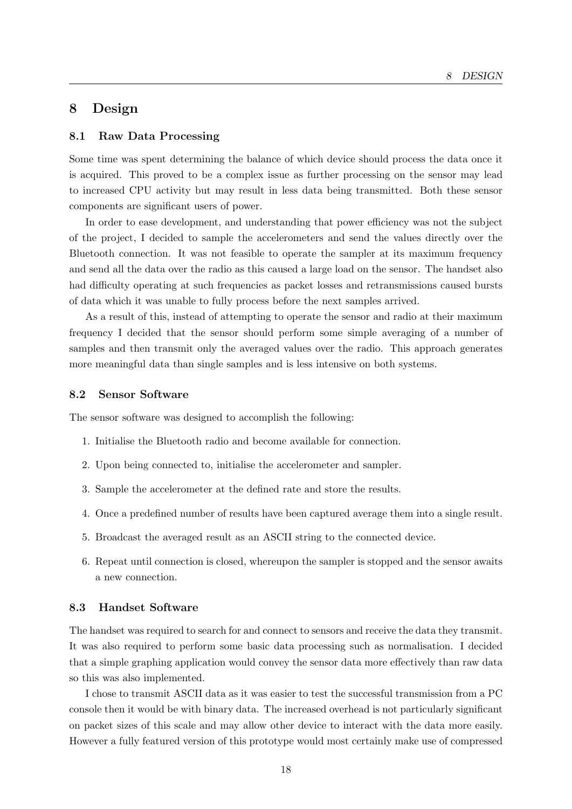# <span id="page-25-0"></span>8 Design

#### <span id="page-25-1"></span>8.1 Raw Data Processing

Some time was spent determining the balance of which device should process the data once it is acquired. This proved to be a complex issue as further processing on the sensor may lead to increased CPU activity but may result in less data being transmitted. Both these sensor components are significant users of power.

In order to ease development, and understanding that power efficiency was not the subject of the project, I decided to sample the accelerometers and send the values directly over the Bluetooth connection. It was not feasible to operate the sampler at its maximum frequency and send all the data over the radio as this caused a large load on the sensor. The handset also had difficulty operating at such frequencies as packet losses and retransmissions caused bursts of data which it was unable to fully process before the next samples arrived.

As a result of this, instead of attempting to operate the sensor and radio at their maximum frequency I decided that the sensor should perform some simple averaging of a number of samples and then transmit only the averaged values over the radio. This approach generates more meaningful data than single samples and is less intensive on both systems.

### <span id="page-25-2"></span>8.2 Sensor Software

The sensor software was designed to accomplish the following:

- 1. Initialise the Bluetooth radio and become available for connection.
- 2. Upon being connected to, initialise the accelerometer and sampler.
- 3. Sample the accelerometer at the defined rate and store the results.
- 4. Once a predefined number of results have been captured average them into a single result.
- 5. Broadcast the averaged result as an ASCII string to the connected device.
- 6. Repeat until connection is closed, whereupon the sampler is stopped and the sensor awaits a new connection.

### <span id="page-25-3"></span>8.3 Handset Software

The handset was required to search for and connect to sensors and receive the data they transmit. It was also required to perform some basic data processing such as normalisation. I decided that a simple graphing application would convey the sensor data more effectively than raw data so this was also implemented.

I chose to transmit ASCII data as it was easier to test the successful transmission from a PC console then it would be with binary data. The increased overhead is not particularly significant on packet sizes of this scale and may allow other device to interact with the data more easily. However a fully featured version of this prototype would most certainly make use of compressed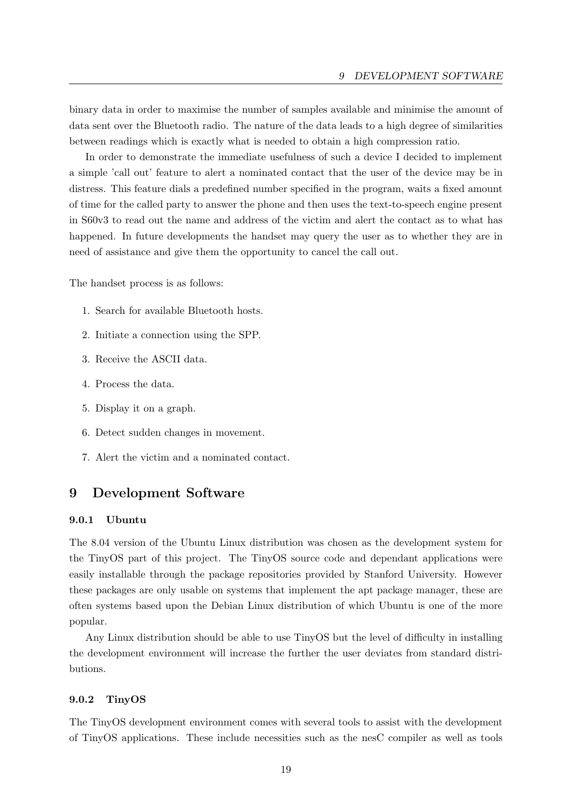binary data in order to maximise the number of samples available and minimise the amount of data sent over the Bluetooth radio. The nature of the data leads to a high degree of similarities between readings which is exactly what is needed to obtain a high compression ratio.

In order to demonstrate the immediate usefulness of such a device I decided to implement a simple 'call out' feature to alert a nominated contact that the user of the device may be in distress. This feature dials a predefined number specified in the program, waits a fixed amount of time for the called party to answer the phone and then uses the text-to-speech engine present in S60v3 to read out the name and address of the victim and alert the contact as to what has happened. In future developments the handset may query the user as to whether they are in need of assistance and give them the opportunity to cancel the call out.

The handset process is as follows:

- 1. Search for available Bluetooth hosts.
- 2. Initiate a connection using the SPP.
- 3. Receive the ASCII data.
- 4. Process the data.
- 5. Display it on a graph.
- 6. Detect sudden changes in movement.
- 7. Alert the victim and a nominated contact.

# <span id="page-26-0"></span>9 Development Software

#### <span id="page-26-1"></span>9.0.1 Ubuntu

The 8.04 version of the Ubuntu Linux distribution was chosen as the development system for the TinyOS part of this project. The TinyOS source code and dependant applications were easily installable through the package repositories provided by Stanford University. However these packages are only usable on systems that implement the apt package manager, these are often systems based upon the Debian Linux distribution of which Ubuntu is one of the more popular.

Any Linux distribution should be able to use TinyOS but the level of difficulty in installing the development environment will increase the further the user deviates from standard distributions.

### <span id="page-26-2"></span>9.0.2 TinyOS

The TinyOS development environment comes with several tools to assist with the development of TinyOS applications. These include necessities such as the nesC compiler as well as tools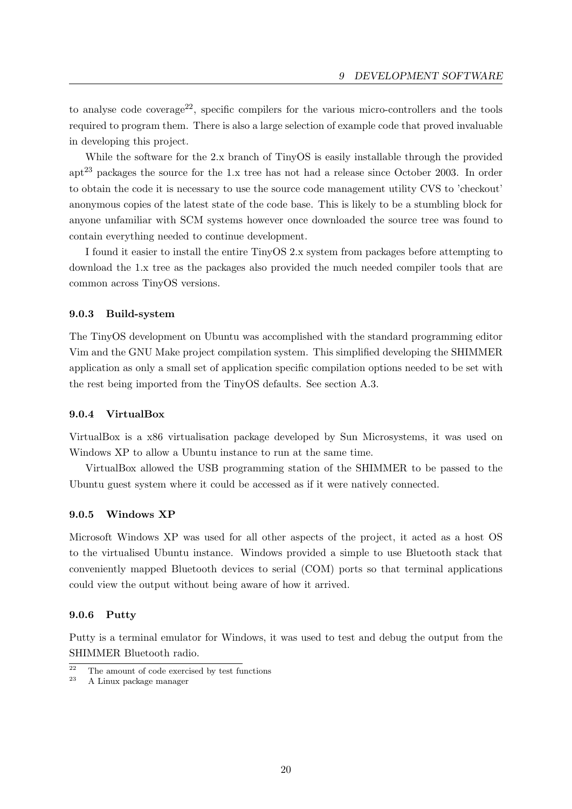to analyse code coverage<sup>[22](#page-27-4)</sup>, specific compilers for the various micro-controllers and the tools required to program them. There is also a large selection of example code that proved invaluable in developing this project.

While the software for the 2.x branch of TinyOS is easily installable through the provided apt[23](#page-27-5) packages the source for the 1.x tree has not had a release since October 2003. In order to obtain the code it is necessary to use the source code management utility CVS to 'checkout' anonymous copies of the latest state of the code base. This is likely to be a stumbling block for anyone unfamiliar with SCM systems however once downloaded the source tree was found to contain everything needed to continue development.

I found it easier to install the entire TinyOS 2.x system from packages before attempting to download the 1.x tree as the packages also provided the much needed compiler tools that are common across TinyOS versions.

## <span id="page-27-0"></span>9.0.3 Build-system

The TinyOS development on Ubuntu was accomplished with the standard programming editor Vim and the GNU Make project compilation system. This simplified developing the SHIMMER application as only a small set of application specific compilation options needed to be set with the rest being imported from the TinyOS defaults. See section [A.3.](#page-40-0)

### <span id="page-27-1"></span>9.0.4 VirtualBox

VirtualBox is a x86 virtualisation package developed by Sun Microsystems, it was used on Windows XP to allow a Ubuntu instance to run at the same time.

VirtualBox allowed the USB programming station of the SHIMMER to be passed to the Ubuntu guest system where it could be accessed as if it were natively connected.

#### <span id="page-27-2"></span>9.0.5 Windows XP

Microsoft Windows XP was used for all other aspects of the project, it acted as a host OS to the virtualised Ubuntu instance. Windows provided a simple to use Bluetooth stack that conveniently mapped Bluetooth devices to serial (COM) ports so that terminal applications could view the output without being aware of how it arrived.

#### <span id="page-27-3"></span>9.0.6 Putty

Putty is a terminal emulator for Windows, it was used to test and debug the output from the SHIMMER Bluetooth radio.

<span id="page-27-4"></span> $rac{22}{24}$  The amount of code exercised by test functions

<span id="page-27-5"></span><sup>23</sup> A Linux package manager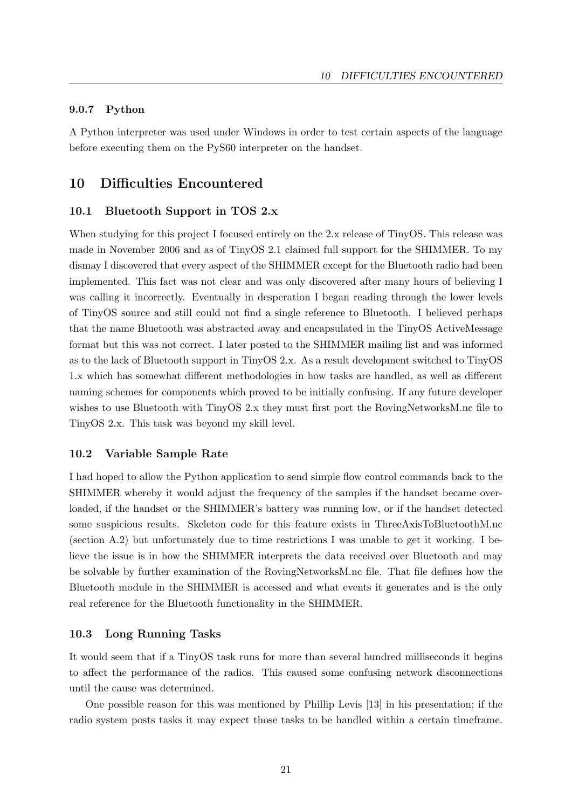#### <span id="page-28-0"></span>9.0.7 Python

A Python interpreter was used under Windows in order to test certain aspects of the language before executing them on the PyS60 interpreter on the handset.

# <span id="page-28-1"></span>10 Difficulties Encountered

#### <span id="page-28-2"></span>10.1 Bluetooth Support in TOS 2.x

When studying for this project I focused entirely on the 2.x release of TinyOS. This release was made in November 2006 and as of TinyOS 2.1 claimed full support for the SHIMMER. To my dismay I discovered that every aspect of the SHIMMER except for the Bluetooth radio had been implemented. This fact was not clear and was only discovered after many hours of believing I was calling it incorrectly. Eventually in desperation I began reading through the lower levels of TinyOS source and still could not find a single reference to Bluetooth. I believed perhaps that the name Bluetooth was abstracted away and encapsulated in the TinyOS ActiveMessage format but this was not correct. I later posted to the SHIMMER mailing list and was informed as to the lack of Bluetooth support in TinyOS 2.x. As a result development switched to TinyOS 1.x which has somewhat different methodologies in how tasks are handled, as well as different naming schemes for components which proved to be initially confusing. If any future developer wishes to use Bluetooth with TinyOS 2.x they must first port the RovingNetworksM.nc file to TinyOS 2.x. This task was beyond my skill level.

#### <span id="page-28-3"></span>10.2 Variable Sample Rate

I had hoped to allow the Python application to send simple flow control commands back to the SHIMMER whereby it would adjust the frequency of the samples if the handset became overloaded, if the handset or the SHIMMER's battery was running low, or if the handset detected some suspicious results. Skeleton code for this feature exists in ThreeAxisToBluetoothM.nc (section [A.2\)](#page-39-0) but unfortunately due to time restrictions I was unable to get it working. I believe the issue is in how the SHIMMER interprets the data received over Bluetooth and may be solvable by further examination of the RovingNetworksM.nc file. That file defines how the Bluetooth module in the SHIMMER is accessed and what events it generates and is the only real reference for the Bluetooth functionality in the SHIMMER.

#### <span id="page-28-4"></span>10.3 Long Running Tasks

It would seem that if a TinyOS task runs for more than several hundred milliseconds it begins to affect the performance of the radios. This caused some confusing network disconnections until the cause was determined.

One possible reason for this was mentioned by Phillip Levis [\[13\]](#page-46-5) in his presentation; if the radio system posts tasks it may expect those tasks to be handled within a certain timeframe.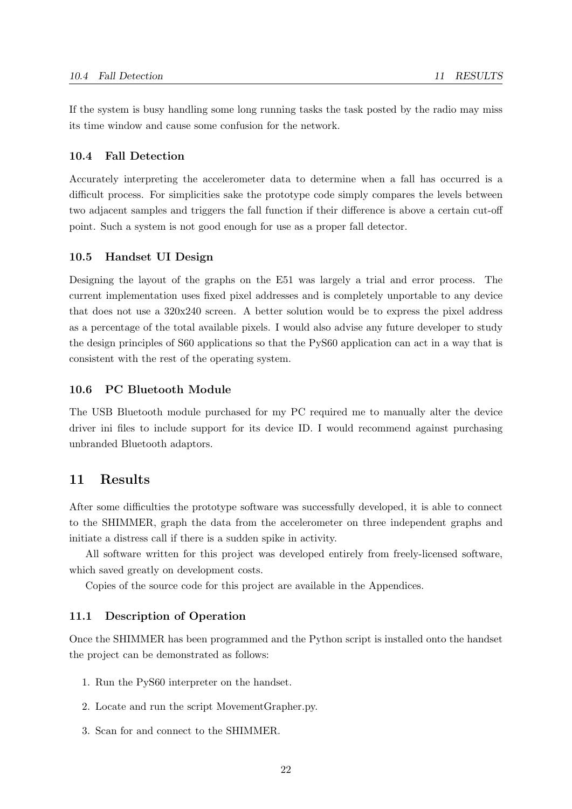If the system is busy handling some long running tasks the task posted by the radio may miss its time window and cause some confusion for the network.

#### <span id="page-29-0"></span>10.4 Fall Detection

Accurately interpreting the accelerometer data to determine when a fall has occurred is a difficult process. For simplicities sake the prototype code simply compares the levels between two adjacent samples and triggers the fall function if their difference is above a certain cut-off point. Such a system is not good enough for use as a proper fall detector.

#### <span id="page-29-1"></span>10.5 Handset UI Design

Designing the layout of the graphs on the E51 was largely a trial and error process. The current implementation uses fixed pixel addresses and is completely unportable to any device that does not use a 320x240 screen. A better solution would be to express the pixel address as a percentage of the total available pixels. I would also advise any future developer to study the design principles of S60 applications so that the PyS60 application can act in a way that is consistent with the rest of the operating system.

#### <span id="page-29-2"></span>10.6 PC Bluetooth Module

The USB Bluetooth module purchased for my PC required me to manually alter the device driver ini files to include support for its device ID. I would recommend against purchasing unbranded Bluetooth adaptors.

# <span id="page-29-3"></span>11 Results

After some difficulties the prototype software was successfully developed, it is able to connect to the SHIMMER, graph the data from the accelerometer on three independent graphs and initiate a distress call if there is a sudden spike in activity.

All software written for this project was developed entirely from freely-licensed software, which saved greatly on development costs.

Copies of the source code for this project are available in the Appendices.

### <span id="page-29-4"></span>11.1 Description of Operation

Once the SHIMMER has been programmed and the Python script is installed onto the handset the project can be demonstrated as follows:

- 1. Run the PyS60 interpreter on the handset.
- 2. Locate and run the script MovementGrapher.py.
- 3. Scan for and connect to the SHIMMER.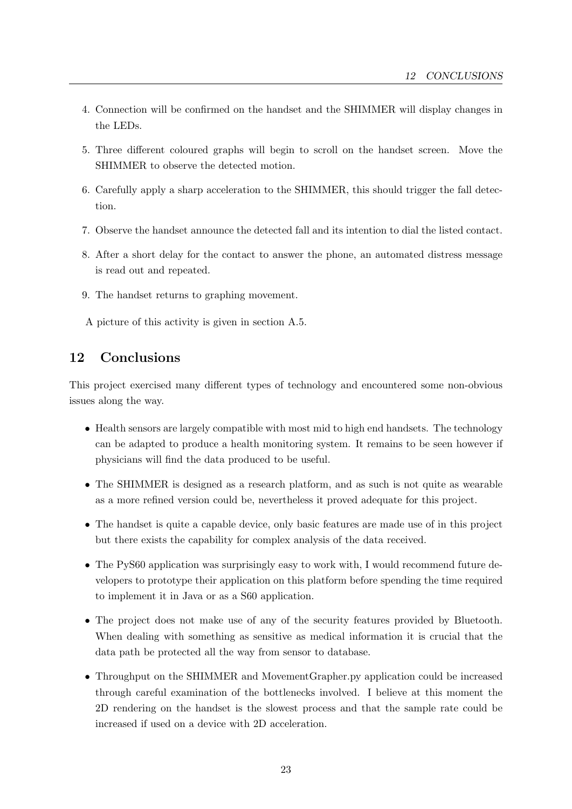- 4. Connection will be confirmed on the handset and the SHIMMER will display changes in the LEDs.
- 5. Three different coloured graphs will begin to scroll on the handset screen. Move the SHIMMER to observe the detected motion.
- 6. Carefully apply a sharp acceleration to the SHIMMER, this should trigger the fall detection.
- 7. Observe the handset announce the detected fall and its intention to dial the listed contact.
- 8. After a short delay for the contact to answer the phone, an automated distress message is read out and repeated.
- 9. The handset returns to graphing movement.

A picture of this activity is given in section [A.5.](#page-45-0)

# <span id="page-30-0"></span>12 Conclusions

This project exercised many different types of technology and encountered some non-obvious issues along the way.

- Health sensors are largely compatible with most mid to high end handsets. The technology can be adapted to produce a health monitoring system. It remains to be seen however if physicians will find the data produced to be useful.
- The SHIMMER is designed as a research platform, and as such is not quite as wearable as a more refined version could be, nevertheless it proved adequate for this project.
- The handset is quite a capable device, only basic features are made use of in this project but there exists the capability for complex analysis of the data received.
- The PyS60 application was surprisingly easy to work with, I would recommend future developers to prototype their application on this platform before spending the time required to implement it in Java or as a S60 application.
- The project does not make use of any of the security features provided by Bluetooth. When dealing with something as sensitive as medical information it is crucial that the data path be protected all the way from sensor to database.
- Throughput on the SHIMMER and MovementGrapher.py application could be increased through careful examination of the bottlenecks involved. I believe at this moment the 2D rendering on the handset is the slowest process and that the sample rate could be increased if used on a device with 2D acceleration.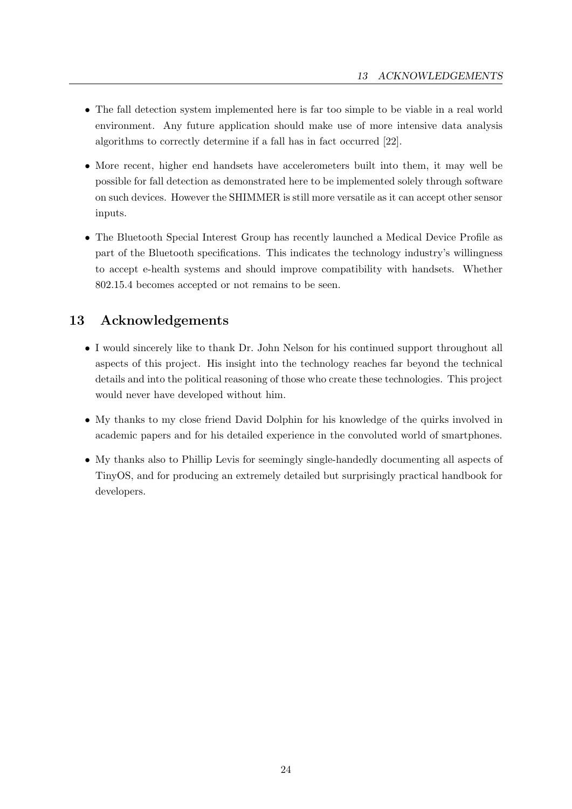- The fall detection system implemented here is far too simple to be viable in a real world environment. Any future application should make use of more intensive data analysis algorithms to correctly determine if a fall has in fact occurred [\[22\]](#page-47-11).
- More recent, higher end handsets have accelerometers built into them, it may well be possible for fall detection as demonstrated here to be implemented solely through software on such devices. However the SHIMMER is still more versatile as it can accept other sensor inputs.
- The Bluetooth Special Interest Group has recently launched a Medical Device Profile as part of the Bluetooth specifications. This indicates the technology industry's willingness to accept e-health systems and should improve compatibility with handsets. Whether 802.15.4 becomes accepted or not remains to be seen.

# <span id="page-31-0"></span>13 Acknowledgements

- I would sincerely like to thank Dr. John Nelson for his continued support throughout all aspects of this project. His insight into the technology reaches far beyond the technical details and into the political reasoning of those who create these technologies. This project would never have developed without him.
- My thanks to my close friend David Dolphin for his knowledge of the quirks involved in academic papers and for his detailed experience in the convoluted world of smartphones.
- My thanks also to Phillip Levis for seemingly single-handedly documenting all aspects of TinyOS, and for producing an extremely detailed but surprisingly practical handbook for developers.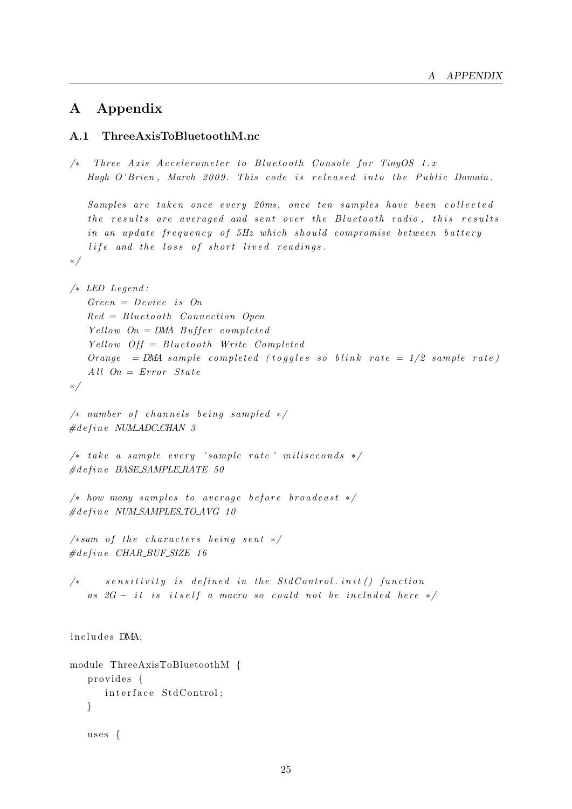# <span id="page-32-0"></span>A Appendix

### <span id="page-32-1"></span>A.1 ThreeAxisToBluetoothM.nc

```
/* Three Axis Accelerometer to Bluetooth Console for TinyOS 1.x
   Hugh O'Brien, March 2009. This code is released into the Public Domain.
   Samples are taken once every 20ms, once ten samples have been collected
   the results are averaged and sent over the Bluetooth radio, this results
   in an update frequency of 5Hz which should compromise between battery
   life and the loss of short lived readings.
∗/
/∗ LED Legend :
   Green = Device is OnRed = Bluetooth Connection Open
   Yellow On = DMA Buffer complete dYellow Off = Bluetooth Write Completed
   Orange = DMA sample completed (toggles so blink rate = 1/2 sample rate)
   All On = Error State∗/
/* number of channels being sampled */\#define NUM_ADC_CHAN 3
/* take a sample every 'sample rate' miliseconds */\#define BASE_SAMPLE_RATE 50
/* how many samples to average before broadcast */\#define NUM_SAMPLES_TO_AVG 10
/*sum of the characters being sent */\#define CHAR_BUF_SIZE 16
/* sensitivity is defined in the StdControl. init () function
   as 2G - it is itself a macro so could not be included here */includes DMA:
module ThreeAxisToBluetoothM {
   provides {
      interface StdControl;
   }
   uses \{
```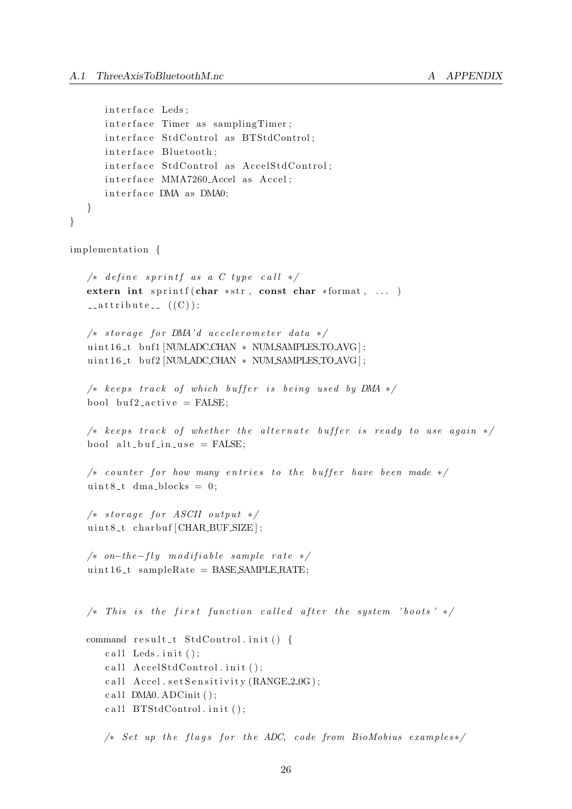```
interface Leds;
      interface Timer as samplingTimer;
      interface StdControl as BTStdControl;
      interface Bluetooth;
      interface StdControl as AccelStdControl;
      interface MMA7260<sub>-Accel</sub> as Accel;
      interface DMA as DMA0;
   }
}
implementation {
   /* define sprintf as a C type call */extern int sprintf ( char *str, const char *format, \dots )
   \text{L} at t r i bu t e \text{L} ((C));
   /* store a ge for DNA'd acceleration meter data */uint16_t \text{ but } 1 [NUM ADC CHAN * NUM SAMPLES TO AVG];
   uint16_t buf2 [NUM ADC CHAN * NUM SAMPLES TO AVG];
   /* keeps track of which buffer is being used by DMA */bool buf2_active = FALSE:/* keeps track of whether the alternate buffer is ready to use again */bool alt_buf_in_use = FALSE;
   /* counter for how many entries to the buffer have been made */uint8_t dma_blocks = 0;
   /* store get for ASCII output */uint8_t charbuf [CHAR_BUF_SIZE];
   /* on-the-fly modifiable sample rate */uint16_t sampleRate = BASE SAMPLE RATE;
   /* This is the first function called after the system 'boots' */
   command result_t StdControl.init() {
      call Leds. in \mathbf{i} (t);
      call AccelStdControl.init ();
      call Accel. set Sensitivity (RANGE 2_0G);
      c all DMA0. ADCinit();
      call BTStdControl. init ();
      /* Set up the flags for the ADC, code from BioMobius examples*/
```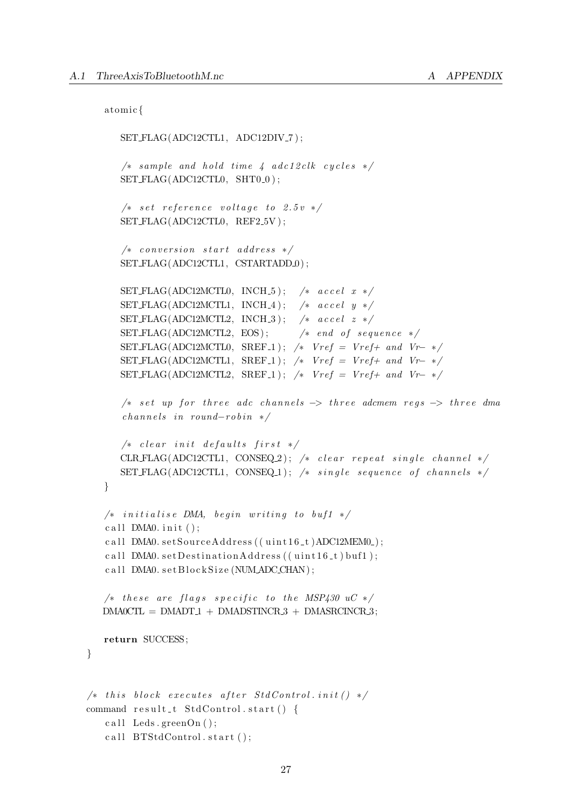```
atomic {
```
}

```
SET FLAG(ADC12CTL1, ADC12DIV_7);
      /* sample and hold time 4 adc12clk cycles */SET \text{FLAG}(\text{ADC12CTL0}, \text{ SHT0-0});
      /* set reference voltage to 2.5v */SET FLAG(ADC12CTL0, REF2_5V);
      /* conversion start address */SET FLAG(ADC12CTL1, CSTARTADD.0);
      SET FLAG(ADC12MCTL0, INCH<sub>-5</sub>); /* accel x */
      SET FLAG(ADC12MCTL1, INCH_4); /* accel y */
      SET FLAG(ADC12MCTL2, INCH_3); /* accel z */
      SET \text{FLAG}(\text{ADC12MCTL2}, \text{EOS}); /* end of sequence */SET FLAG(ADC12MCTL0, SREF<sub>-1</sub>); /* Vref = Vref + and Vr-*/SET FLAG(ADC12MCTL1, SREF_1); /* Vref = Vref + and Vr-*/SET FLAG(ADC12MCTL2, SREF_1); /* Vref = Vref + and Vr-*//* set up for three adc channels \rightarrow three adcmem regs \rightarrow three dma
      channels \ in \ round-robin *//* clear init defaults first */CLR FLAG(ADC12CTL1, CONSEQ.2); /* clear repeat single channel */
      SET FLAG(ADC12CTL1, CONSEQ_1); /* single sequence of channels */
   }
   /* initialise DMA, begin writing to buf1 */c all DMA0. in it ();
   c all DMA0. \text{setSourceAddress} ((\text{uint16_t})ADC12MEM0<sub>-</sub>);
   call DMA0. set Destination Address ((uint16_t) buf1);
   call DMA0. set Block Size (NUM ADC CHAN);
   /* these are flags specific to the MSP430 uC */DMA0CTL = DMADT1 + DMADSTINCR.3 + DMASRCINCR.3;return SUCCESS;
/* this block executes after StdControl.init() */command result_t StdControl.start() {
   c all Leds. greenOn();
   call BTStdControl.start();
```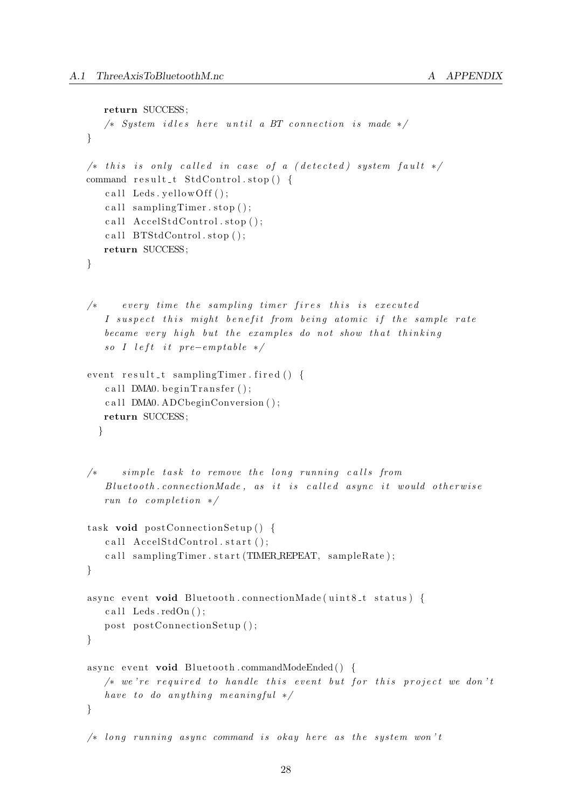```
return SUCCESS;
   /* System idles here until a BT connection is made */}
/* this is only called in case of a (detected) system fault */command result_t = StdControl . stop() {
   call Leds. yellow Off();
   call sampling Timer . stop ():
   c all AccelStdControl.\,stop();
   call BTStdControl.\,stop();
   return SUCCESS;
}
/* every time the sampling timer fires this is executed
   I suspect this might benefit from being atomic if the sample rate
   became very high but the examples do not show that thinking
   so I left it pre-emptable */event result_t samplingTimer. fired () {
   c all DMA0. b e gin Transformer();
   c all DMA0. ADCbeginConversion ();
   return SUCCESS;
  }
/* simple task to remove the long running calls from
   Blue tooth. connection Male, as it is called async it would otherwise
   run to completion */task void postConnectionSetup() {
   c all AccelStdControl.start();
   call samplingTimer.start(TIMER.REPEAT, sampleRate);
}
async event void Bluetooth.connectionMade (uint8_t status) {
   call Leds. \text{redOn}();
   post postConnectionSetup();
}
async event void Bluetooth.commandModeEnded() {
   /* we're required to handle this event but for this project we don'thave to do anything meaningful */}
/* long running async command is okay here as the system won't
```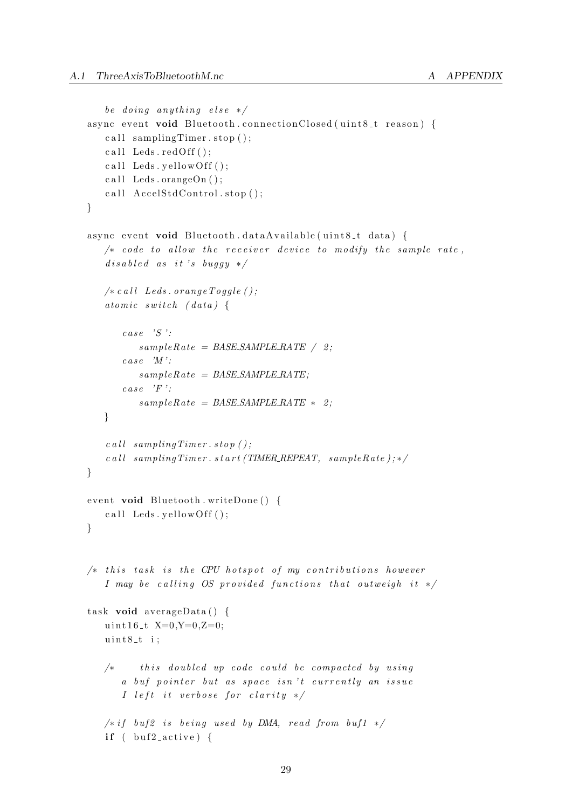```
be doing anything else */async event void Bluetooth.connectionClosed (uint8_t reason) {
   call sampling Timer . stop ();
   call Leds.redOff();
   call Leds. v ellow Off ();
   call Leds.orangeOn();
   c all AccelStdControl.\,stop();
}
async event void Bluetooth.dataAvailable(uint8_t data) {
   /* code to allow the receiver device to modify the sample rate,
   disabeled as it 's buggy *//* call \; Leds. \; orange~Toggle();
   atomic switch (data) \{case \quad 'S ':
          sampleRate = BASE\_SAMPLE\_RATE / 2;case \quad M':
          sampleRate = BASESAMPLERATEcase \quad \overleftrightarrow{F} :
          sampleRate = BASE\_SAMPLERATE * 2;}
   \textit{call sampling} Timer. \textit{stop} ();
   \emph{call sampling Timer. start (TIMER. REPEAT, sampleRate } ;*/
}
event void Bluetooth.writeDone() {
   call Leds. yellow Off();
}
/* this task is the CPU host spot of my contributions howeverI may be calling OS provided functions that outweigh it */task void averageData() {
   u int 16 -t X=0, Y=0, Z=0;uint8_t i:
   /* this doubled up code could be compacted by using
      a buf pointer but as space isn't currently an issue
       I left it verbose for clarity *//* if buf2 is being used by DMA, read from buf1 */if ( buf2_active) {
```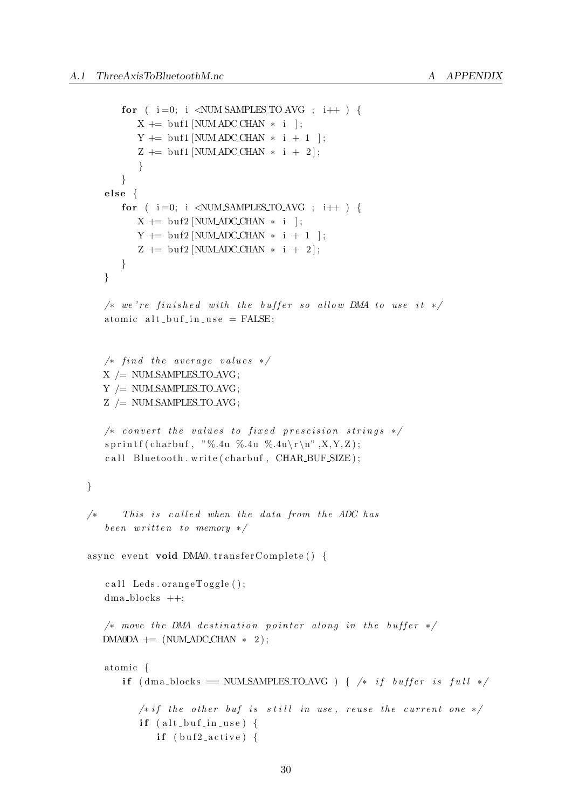```
for ( i = 0; i < NUMSAMPLES\_TOAVG ; i++ ) {
          X \leftarrow \text{buf1} [NUM ADC CHAN * i ];
         Y \rightleftharpoons \text{buf1} [NUM ADC_CHAN * i + 1 ];
          Z + = buf1 [NUM_ADC_CHAN * i + 2];
          }
      }
   else \{for ( i=0; i \langle NUMSAMPLES\_TOAVG ; i++ \rangle {
         X \leftarrow \text{buf2} [NUM ADC CHAN * i ];
         Y \leftarrow \text{buf2} [NUM_ADC_CHAN * i + 1 ];
          Z + = buf2 [NUM_ADC_CHAN * i + 2];
      }
   }
   /* we're finished with the buffer so allow DMA to use it */
   atomic alt_buf_in_use = FALSE;/* find the average values */X /= NUM SAMPLES TO AVG;
   Y /= NUM SAMPLES TO AVG;
   Z /= NUM SAMPLES TO AVG;
   /* convert the values to fixed prescision strings */s p r in t f ( charbu f, "%.4u %.4u %.4u \r \n", X, Y, Z );
   call Bluetooth.write (charbuf, CHAR_BUF_SIZE);
}
/* This is called when the data from the ADC has
   been written to memory */async event void DMA0. transferComplete () \{call Leds.orangeToggle();
   dma blocks ++;
   /* move the DMA destination pointer along in the buffer */DMA0DA += (NUMADCCHAN * 2);atomic {
      if (dma_blocks == NUM_SAMPLES_TO_AVG) { /* if buffer is full */
          /* if the other but is still in use, reuse the current one */if (alt_buf_in_use)if (buf2_active) {
```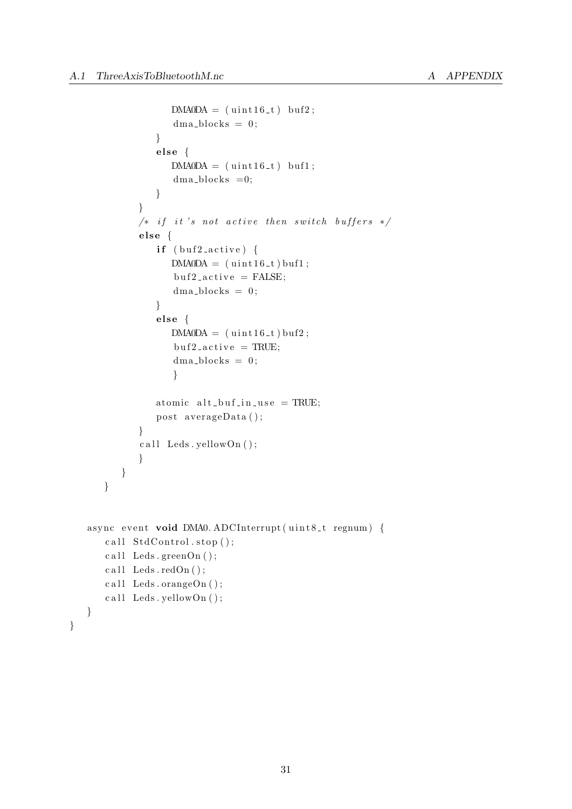}

```
DMA0DA = (uint16_t) but2;dma\_blocks = 0;
             }
             else {
                DMA0DA = (uint16_t, t) but1;dma_blocks =0;
             }
          }
          /* if it's not active then switch buffers */else \{if (buf2_active) {
                DMA0DA = (u int16_t buf1;
                but 2_active = FALSE;dma\_blocks = 0;
             }
             else \{DMA0DA = (uint16_t) but2;but 2_a c t i v e = TRUE;dma\_blocks = 0;
                }
             atomic alt_buf_in_use = TRUE;post averageData();
          }
          call Leds. yellowOn();
          }
      }
   }
async event void DMA0. ADCInterrupt (uint8_t regnum) {
   call StdControl.show();
   call Leds.greenOn();
   call \text{Leds} \cdot \text{redOn} ( );
   c all Leds. orangeOn();
   call Leds. yellowOn();
}
```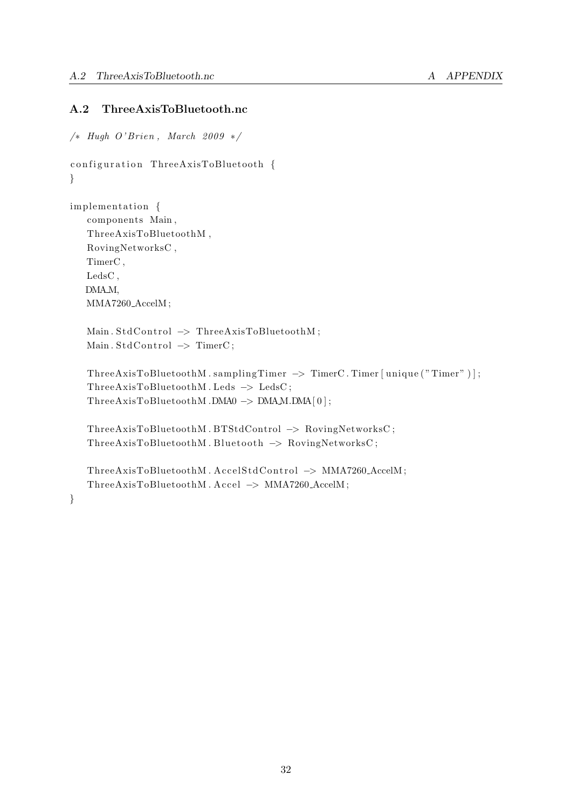### <span id="page-39-0"></span>A.2 ThreeAxisToBluetooth.nc

```
/* Hugh O'Brien, March 2009 */
configuration ThreeAxisToBluetooth {
}
implementation {
   components Main ,
   ThreeAxisToBluetoothM ,
   RovingNetworksC ,
   TimerC ,
   LedsC ,
   DMA<sub>M</sub>,
   MMA7260 AccelM ;
   Main. StdControl \rightarrow ThreeAxisToBluetoothM;
   Main. StdControl \rightarrow TimerC;
   ThreeAxisToBluetoothM.samplingTimer -> TimerC.Timer [unique ("Timer")];
   ThreeAxisToBluetoothM. Leds → LedsC;
   ThreeAxisToBluetoothM .DMA0 −> DMAM.DMA[ 0 ] ;
   ThreeAxisToBluetoothM . BTStdControl −> RovingNetworksC ;
   ThreeAxisToBluetoothM. Bluetooth → RovingNetworksC;
   ThreeAxisToBluetoothM.AccelStdControl -> MMA7260_AccelM;
   ThreeAxisToBluetoothM . Accel −> MMA7260 AccelM ;
}
```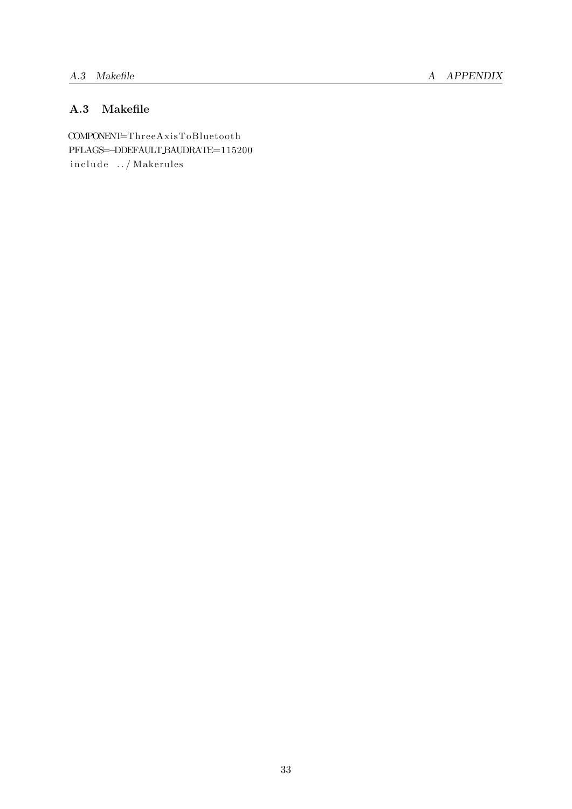# <span id="page-40-0"></span>A.3 Makefile

COMPONENT=ThreeAxisToBluetooth PFLAGS=−DDEFAULT BAUDRATE=115200 include ../ Makerules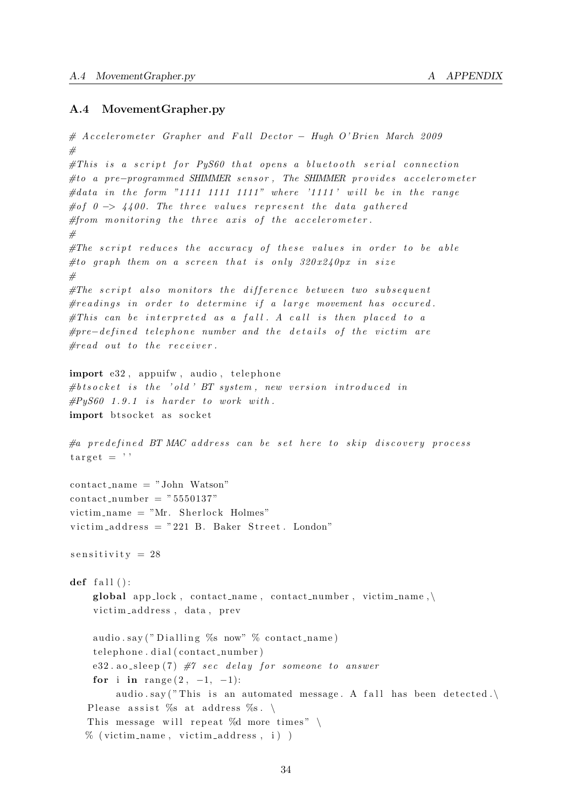#### <span id="page-41-0"></span>A.4 MovementGrapher.py

```
# Accelerometer Grapher and Fall Dector − Hugh O'Brien March 2009
#
\#This is a script for PuS60 that opens a bluetooth serial connection
#to a pre−programmed SHIMMER sensor, The SHIMMER provides accelerometer
#data in the form "1111 1111 1111" where '1111' will be in the range
#of 0 \rightarrow 4400. The three values represent the data gathered
# from monitoring the three axis of the accelerometer.
#
\# The \scriptsize \begin{array}{|l|} \hbox{\small \textbf{script} \end{array}} reduces the accuracy of these values in order to be able
#to graph them on a screen that is only 320x240px in size
#
\# The \ script \ also \ monitors \ the \ difference \ between \ two \ subsequent\# readings in order to determine if a large movement has occured.
#This can be interpreted as a fall. A call is then placed to a#pre-defined\,q\,telephone\,number\,and\,the\,details\,of\,the\,victim\,are\,are\,or\,the\,int\,p\,de\# read out to the receiver.import e32, appuifw, audio, telephone
#b \, t \, s \, o \, c \, k \, e \, t \quad is \quad the \quad ' \, o \, l \, d \quad ' \, BT \, system \, , \quad new \, \; version \; \; introduced \; \; in\#PyS60 1.9.1 is harder to work with.
import btsocket as socket
#a predefined BT MAC address can be set here to skip discovery process
target = '\text{contact}\_\text{name} = " \text{John}\_\text{Watson"\text{contact_number} = "5550137"victim name = "Mr. Sherlock Holmes"victim address = "221 B. Baker Street. London"s e n sitivity = 28
def fall ():
     global app_lock, contact_name, contact_number, victim_name, \
     victim_address, data, prev
     audio.say ("Dialling %s now" % contact_name)
     t elephone. dial (contact_number)
    e32. ao_sleep(7) \#7 sec delay for someone to answer
     for i in range (2, -1, -1):
         audio . say ("This is an automated message. A fall has been detected.)
   Please assist %s at address %s. \setminusThis message will repeat %d more times" \setminus\% (victim_name, victim_address, i))
```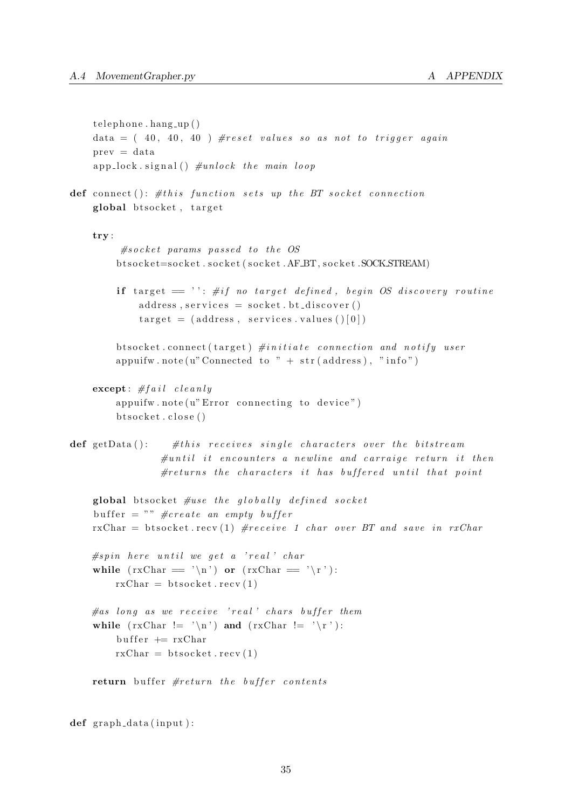```
t elephone. hang up()data = (40, 40, 40) #reset values so as not to trigger again
    prev = data
    app\_lock \text{.} signal() \#unlock \text{.} the \text{.} main \text{.} loopdef connect (): \# this\ function\ sets\ up\ the\ BT\ socket\ connectionglobal btsocket, target
    try :
          # socket params passed to the OS
         btsocket=socket.socket(socket.AFBT,socket.SOCKSTREAM)
         if target = ": #if no target defined, begin OS discovery routine
             address, services = socket.bt\_discover()target = (address, services.values ()[0])btsocket.connect (target) #initiate connection and notify user
         appuifw.note (u" Connected to " + str (address), "info")
    \mathbf{except}: \# fail \;cle\text{ }allyappuifw.note (u'' Error connecting to device")bts o c k e t . c l o s e ()def getData (): \# this receives single characters over the bitstream
                 \#until it encounters a newline and carraige return it then
                 \#returns the characters it has buffered until that point
    global btsocket \#use the globally defined socket
    buffer = "" \#create an empty buffer
    rxChar = bitsocket.recv(1) #receive 1 char over BT and save in rxChar#spin \text{ here } until \text{ we get a 'real' } shallwhile (rxChar = ' \n\cdot) or (rxChar = ' \r):
        rxChar = bisocket . recv(1)\#as long as we receive 'real' chars buffer them
    while (rxChar \leq 'n') and (rxChar \leq 'r'):
         buffer \equiv rxChar
        rxChar = bisocket . recv(1)return buffer #return the buffer contents
```
 $def graph_data(input):$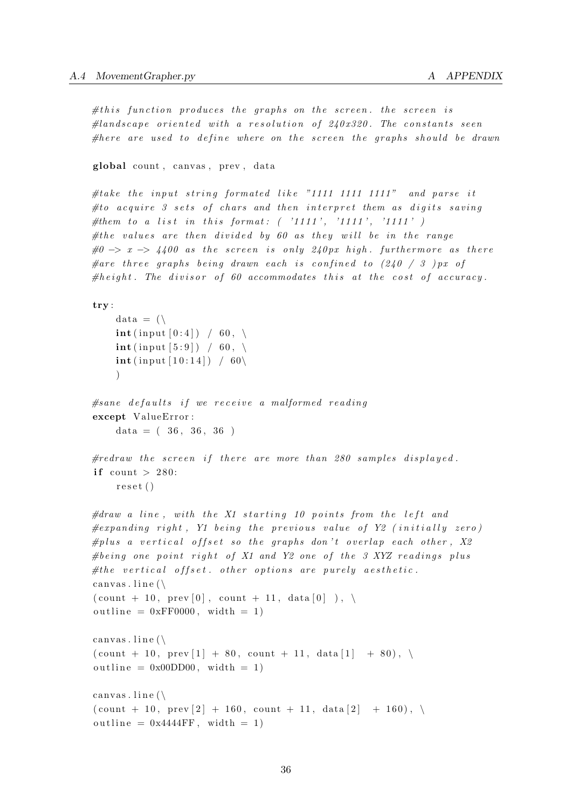$\# this\ function\ produces\ the\ graphs\ on\ the\ screen\ the\ screen\$  $\#landscale$  oriented with a resolution of  $240x320$ . The constants seen #here are used to define where on the screen the graphs should be drawn

global count, canvas, prev, data

#take the input string formated like "1111 1111 1111" and parse it  $# to\ a\ ca\ wire\ 3\ sets\ of\ chars\ and\ then\ interpret\ them\ as\ diaits\ saving$ #them to a list in this format:  $( '1111', '1111', '1111' )$ #the values are then divided by 60 as they will be in the range  $\#0 \Rightarrow x \Rightarrow 4400$  as the screen is only 240px high. furthermore as there # are three graphs being drawn each is confined to  $(240 / 3)$  px of  $\# height$ . The divisor of 60 accommodates this at the cost of accuracy.

```
try :
```

```
data = (\n\\text{int}(\text{input}[0:4]) \neq 60, \setminus\text{int}(\text{input} [5:9]) / 60, \setminus\text{int} (\text{input} [10:14]) / 60 \setminus)
```

```
#sane defaults if we receive a malformed reading
except ValueError:
   data = (36, 36, 36)
```

```
#redraw the screen if there are more than 280 samples displayed.
if count > 280:
    reset()
```

```
\#draw \ a \ line, with \ the \ X1 \ starting \ 10 \ points from \ the \ left \ and\#expanding\ right, Y1\ being\ time\ previous\ value\ of\ Y2\ (initially\ zero)#plus a vertical offset so the graphs don't overlap each other, X2#being one point right of X1 and Y2 one of the 3 XYZ readings plus
# the \ vertical \ offset. \ other \ options \ are \ purely \ aesthetic.canvas. line (\n\setminus\{\text{count} + 10, \text{prev} \, [0], \text{count} + 11, \text{data} \, [0], \}outline = 0xFF0000, width = 1)
canvas. line (\n\setminus\{\text{count} + 10, \text{prev} [1] + 80, \text{count} + 11, \text{data} [1] + 80 \}, \ \ \ \ \outline = 0x00DD00, width = 1)canvas. line (\n\setminus\{\text{count} + 10, \text{prev} [2] + 160, \text{count} + 11, \text{data} [2] + 160 \}, \ \ \ \ \
```

```
outline = 0x4444FF, width = 1)
```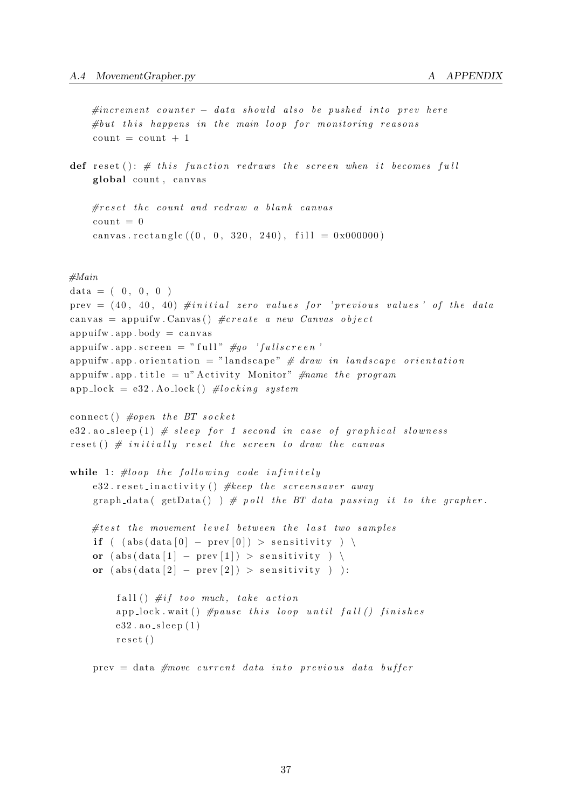```
#increment\ counter - data should also be pushed into prev here#but this happens in the main loop for monitoring reasonscount = count + 1
```
def reset ():  $\#$  this function redraws the screen when it becomes full global count, canvas

```
\#reset the count and redraw a blank canvas
count = 0canvas.rectangle ((0, 0, 320, 240), fill = 0x000000)
```
#### #Main

```
data = (0, 0, 0)prev =(40, 40, 40) #initial zero values for 'previous values' of the data
canvas = appuifw. Canvas () \#create a new Canvas object
apputfw . app . body = canvasappui fw . app . s c r e e n = " f u l l " \#go ' f u l l s c r e e n '
appuifw . app . orientation = "landscape" \# draw in landscape orientation
appuifw . app . title = u" Activity Monitor" \#name\ the\ programapp\_lock = e32. Ao\_lock() #locking system
connect () \#open the BT socket
e32 . ao sleep (1) # sleep for 1 second in case of graphical slowness
reset () \# initially reset the screen to draw the canvas
while 1: \# loop the following code infinitely
    e32. reset_inactivity () #keep the screensaver away
    graph_data(getData()) \# poll the BT data passing it to the grapher.
    \# test the movement level between the last two samples
    if ( (abs(data [0] - prev [0]) > sensitivity) \
    or ( \text{abs}(\text{data} [1] - \text{prev} [1]) > \text{sensitivity} ) )or (abs(data [2] - prev [2]) > sensitivity):
         fall () \#if\ too\ much,\ take\ actionapp lock wait () \# pause this loop until fall () finishes
         e32 \cdot a0 \cdot s1eep(1)r e s e t ( )
    prev = data \# move \ current \ data \ into \ previous \ data \ buffer
```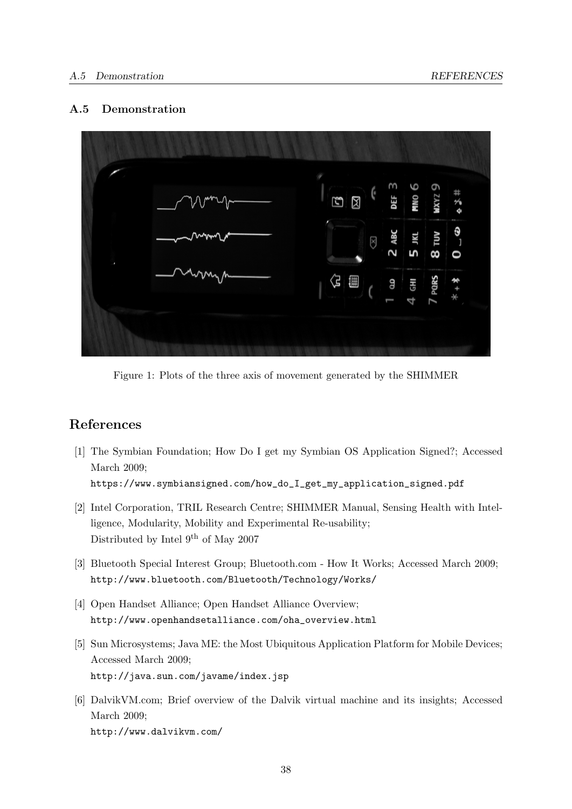### <span id="page-45-0"></span>A.5 Demonstration



<span id="page-45-1"></span>Figure 1: Plots of the three axis of movement generated by the SHIMMER

# References

- <span id="page-45-5"></span>[1] The Symbian Foundation; How Do I get my Symbian OS Application Signed?; Accessed March 2009; [https://www.symbiansigned.com/how\\_do\\_I\\_get\\_my\\_application\\_signed.pdf](https://www.symbiansigned.com/how_do_I_get_my_application_signed.pdf)
- [2] Intel Corporation, TRIL Research Centre; SHIMMER Manual, Sensing Health with Intelligence, Modularity, Mobility and Experimental Re-usability; Distributed by Intel  $9^{th}$  of May 2007
- <span id="page-45-6"></span>[3] Bluetooth Special Interest Group; Bluetooth.com - How It Works; Accessed March 2009; <http://www.bluetooth.com/Bluetooth/Technology/Works/>
- <span id="page-45-3"></span>[4] Open Handset Alliance; Open Handset Alliance Overview; [http://www.openhandsetalliance.com/oha\\_overview.html](http://www.openhandsetalliance.com/oha_overview.html)
- <span id="page-45-2"></span>[5] Sun Microsystems; Java ME: the Most Ubiquitous Application Platform for Mobile Devices; Accessed March 2009; <http://java.sun.com/javame/index.jsp>
- <span id="page-45-4"></span>[6] DalvikVM.com; Brief overview of the Dalvik virtual machine and its insights; Accessed March 2009; <http://www.dalvikvm.com/>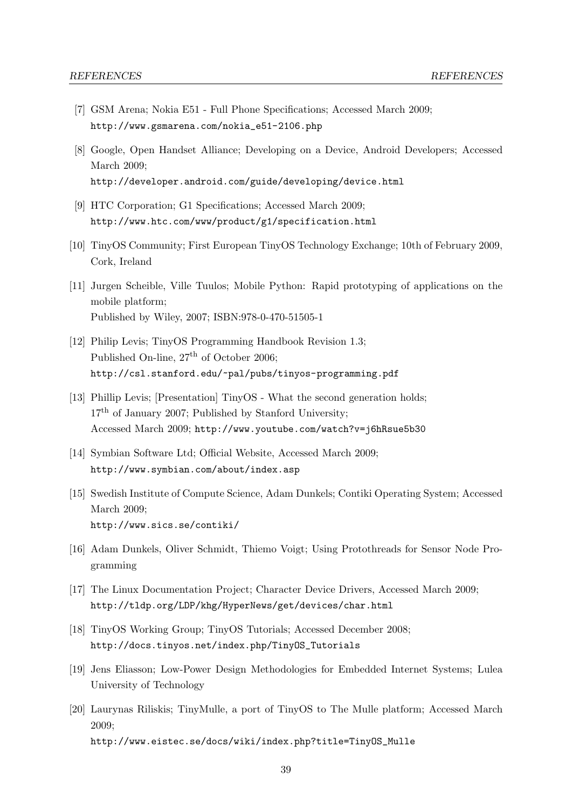- <span id="page-46-10"></span>[7] GSM Arena; Nokia E51 - Full Phone Specifications; Accessed March 2009; [http://www.gsmarena.com/nokia\\_e51-2106.php](http://www.gsmarena.com/nokia_e51-2106.php)
- <span id="page-46-9"></span>[8] Google, Open Handset Alliance; Developing on a Device, Android Developers; Accessed March 2009; <http://developer.android.com/guide/developing/device.html>
- <span id="page-46-8"></span>[9] HTC Corporation; G1 Specifications; Accessed March 2009; <http://www.htc.com/www/product/g1/specification.html>
- <span id="page-46-7"></span>[10] TinyOS Community; First European TinyOS Technology Exchange; 10th of February 2009, Cork, Ireland
- <span id="page-46-12"></span>[11] Jurgen Scheible, Ville Tuulos; Mobile Python: Rapid prototyping of applications on the mobile platform; Published by Wiley, 2007; ISBN:978-0-470-51505-1
- <span id="page-46-6"></span>[12] Philip Levis; TinyOS Programming Handbook Revision 1.3; Published On-line,  $27<sup>th</sup>$  of October 2006; <http://csl.stanford.edu/~pal/pubs/tinyos-programming.pdf>
- <span id="page-46-5"></span>[13] Phillip Levis; [Presentation] TinyOS - What the second generation holds;  $17<sup>th</sup>$  of January 2007; Published by Stanford University; Accessed March 2009; <http://www.youtube.com/watch?v=j6hRsue5b30>
- <span id="page-46-11"></span>[14] Symbian Software Ltd; Official Website, Accessed March 2009; <http://www.symbian.com/about/index.asp>
- [15] Swedish Institute of Compute Science, Adam Dunkels; Contiki Operating System; Accessed March 2009; <http://www.sics.se/contiki/>
- <span id="page-46-4"></span>[16] Adam Dunkels, Oliver Schmidt, Thiemo Voigt; Using Protothreads for Sensor Node Programming
- <span id="page-46-0"></span>[17] The Linux Documentation Project; Character Device Drivers, Accessed March 2009; <http://tldp.org/LDP/khg/HyperNews/get/devices/char.html>
- <span id="page-46-1"></span>[18] TinyOS Working Group; TinyOS Tutorials; Accessed December 2008; [http://docs.tinyos.net/index.php/TinyOS\\_Tutorials](http://docs.tinyos.net/index.php/TinyOS_Tutorials)
- <span id="page-46-3"></span>[19] Jens Eliasson; Low-Power Design Methodologies for Embedded Internet Systems; Lulea University of Technology
- <span id="page-46-2"></span>[20] Laurynas Riliskis; TinyMulle, a port of TinyOS to The Mulle platform; Accessed March 2009; [http://www.eistec.se/docs/wiki/index.php?title=TinyOS\\_Mulle](http://www.eistec.se/docs/wiki/index.php?title=TinyOS_Mulle)